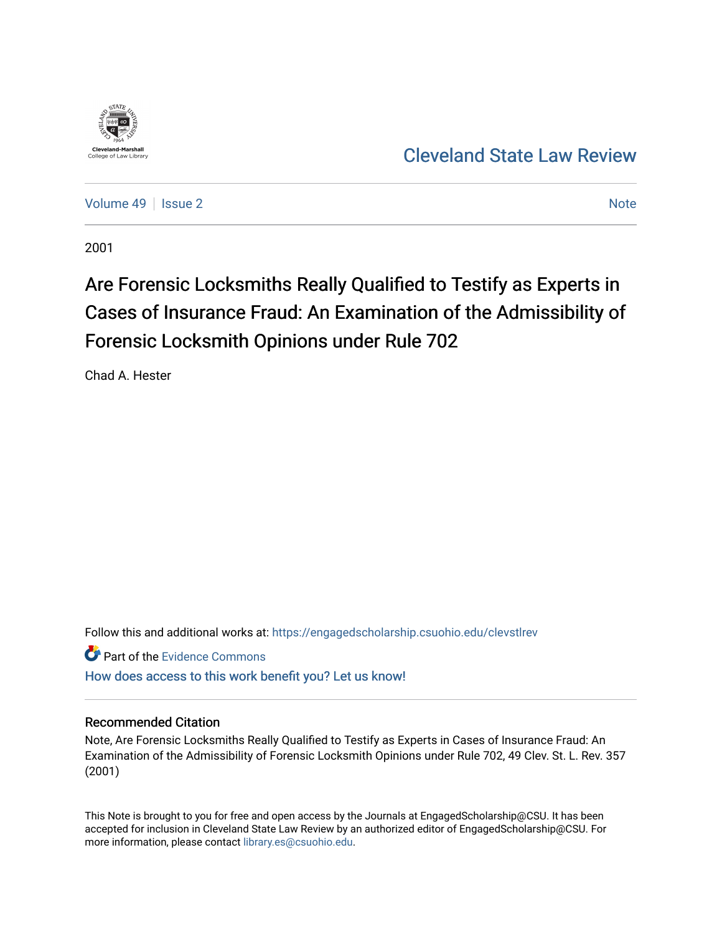

[Volume 49](https://engagedscholarship.csuohio.edu/clevstlrev/vol49) | [Issue 2](https://engagedscholarship.csuohio.edu/clevstlrev/vol49/iss2) [Note](https://engagedscholarship.csuohio.edu/clevstlrev/vol49/iss2/7) 2 Note 2 Note 2 Note 2 Note 2 Note 2 Note 2 Note 2 Note 2 Note 2 Note 2 Note 2 Note 2 Note 2 Note 2 Note 2 Note 2 Note 2 Note 2 Note 2 Note 2 Note 2 Note 2 Note 2 Note 2 Note 2 Note 2 Note 2 Note 2

2001

# Are Forensic Locksmiths Really Qualified to Testify as Experts in Cases of Insurance Fraud: An Examination of the Admissibility of Forensic Locksmith Opinions under Rule 702

Chad A. Hester

Follow this and additional works at: [https://engagedscholarship.csuohio.edu/clevstlrev](https://engagedscholarship.csuohio.edu/clevstlrev?utm_source=engagedscholarship.csuohio.edu%2Fclevstlrev%2Fvol49%2Fiss2%2F7&utm_medium=PDF&utm_campaign=PDFCoverPages)

Part of the [Evidence Commons](http://network.bepress.com/hgg/discipline/601?utm_source=engagedscholarship.csuohio.edu%2Fclevstlrev%2Fvol49%2Fiss2%2F7&utm_medium=PDF&utm_campaign=PDFCoverPages) 

[How does access to this work benefit you? Let us know!](http://library.csuohio.edu/engaged/)

# Recommended Citation

Note, Are Forensic Locksmiths Really Qualified to Testify as Experts in Cases of Insurance Fraud: An Examination of the Admissibility of Forensic Locksmith Opinions under Rule 702, 49 Clev. St. L. Rev. 357 (2001)

This Note is brought to you for free and open access by the Journals at EngagedScholarship@CSU. It has been accepted for inclusion in Cleveland State Law Review by an authorized editor of EngagedScholarship@CSU. For more information, please contact [library.es@csuohio.edu](mailto:library.es@csuohio.edu).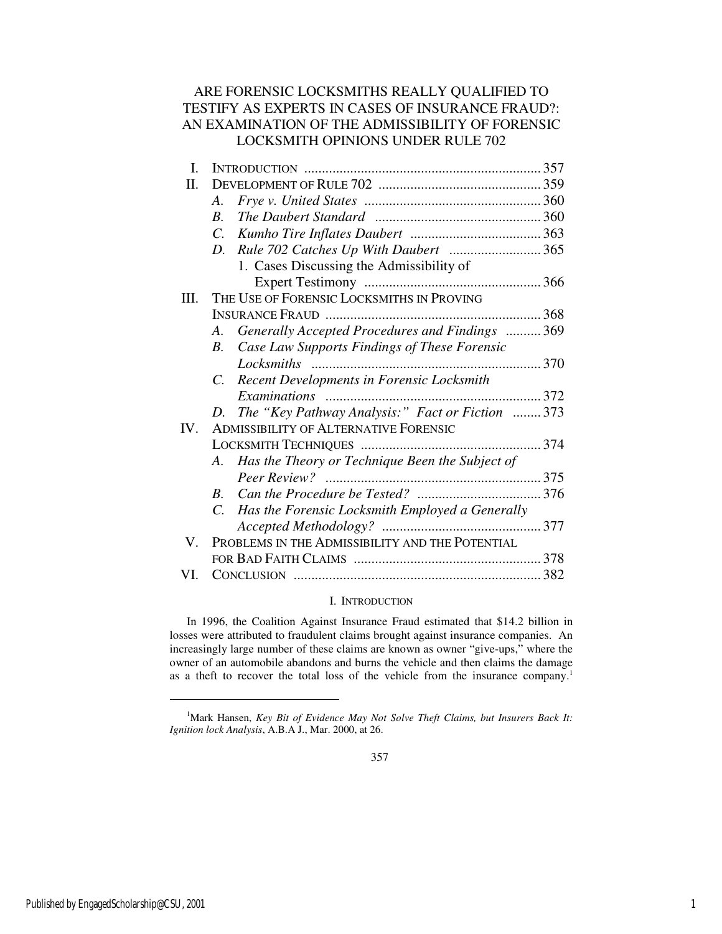# ARE FORENSIC LOCKSMITHS REALLY QUALIFIED TO TESTIFY AS EXPERTS IN CASES OF INSURANCE FRAUD?: AN EXAMINATION OF THE ADMISSIBILITY OF FORENSIC LOCKSMITH OPINIONS UNDER RULE 702

| L.   |                                                                 |  |
|------|-----------------------------------------------------------------|--|
| Π.   |                                                                 |  |
|      | A.                                                              |  |
|      | $R_{\parallel}$                                                 |  |
|      |                                                                 |  |
|      | D. Rule 702 Catches Up With Daubert 365                         |  |
|      | 1. Cases Discussing the Admissibility of                        |  |
|      |                                                                 |  |
| III. | THE USE OF FORENSIC LOCKSMITHS IN PROVING                       |  |
|      |                                                                 |  |
|      | Generally Accepted Procedures and Findings  369<br>A.           |  |
|      | Case Law Supports Findings of These Forensic<br>$R_{\cdot}$     |  |
|      |                                                                 |  |
|      | <b>Recent Developments in Forensic Locksmith</b><br>$C_{\cdot}$ |  |
|      |                                                                 |  |
|      | D. The "Key Pathway Analysis:" Fact or Fiction 373              |  |
| IV.  | <b>ADMISSIBILITY OF ALTERNATIVE FORENSIC</b>                    |  |
|      |                                                                 |  |
|      | A. Has the Theory or Technique Been the Subject of              |  |
|      |                                                                 |  |
|      | $R_{\perp}$                                                     |  |
|      | C. Has the Forensic Locksmith Employed a Generally              |  |
|      |                                                                 |  |
| V.   | PROBLEMS IN THE ADMISSIBILITY AND THE POTENTIAL                 |  |
|      |                                                                 |  |
| VI.  |                                                                 |  |

# I. INTRODUCTION

In 1996, the Coalition Against Insurance Fraud estimated that \$14.2 billion in losses were attributed to fraudulent claims brought against insurance companies. An increasingly large number of these claims are known as owner "give-ups," where the owner of an automobile abandons and burns the vehicle and then claims the damage as a theft to recover the total loss of the vehicle from the insurance company.<sup>1</sup>

j

<sup>&</sup>lt;sup>1</sup>Mark Hansen, *Key Bit of Evidence May Not Solve Theft Claims, but Insurers Back It: Ignition lock Analysis*, A.B.A J., Mar. 2000, at 26.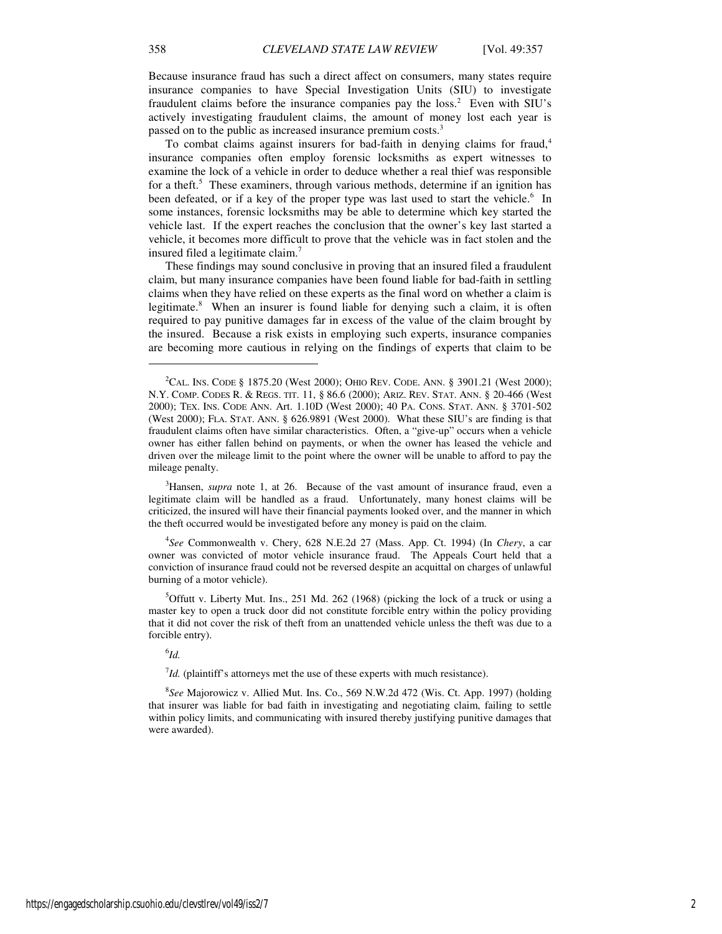Because insurance fraud has such a direct affect on consumers, many states require insurance companies to have Special Investigation Units (SIU) to investigate fraudulent claims before the insurance companies pay the  $loss<sup>2</sup>$  Even with SIU's actively investigating fraudulent claims, the amount of money lost each year is passed on to the public as increased insurance premium costs.<sup>3</sup>

To combat claims against insurers for bad-faith in denying claims for fraud, $4$ insurance companies often employ forensic locksmiths as expert witnesses to examine the lock of a vehicle in order to deduce whether a real thief was responsible for a theft.<sup>5</sup> These examiners, through various methods, determine if an ignition has been defeated, or if a key of the proper type was last used to start the vehicle.<sup>6</sup> In some instances, forensic locksmiths may be able to determine which key started the vehicle last. If the expert reaches the conclusion that the owner's key last started a vehicle, it becomes more difficult to prove that the vehicle was in fact stolen and the insured filed a legitimate claim.<sup>7</sup>

These findings may sound conclusive in proving that an insured filed a fraudulent claim, but many insurance companies have been found liable for bad-faith in settling claims when they have relied on these experts as the final word on whether a claim is legitimate.<sup>8</sup> When an insurer is found liable for denying such a claim, it is often required to pay punitive damages far in excess of the value of the claim brought by the insured. Because a risk exists in employing such experts, insurance companies are becoming more cautious in relying on the findings of experts that claim to be

<sup>3</sup>Hansen, *supra* note 1, at 26. Because of the vast amount of insurance fraud, even a legitimate claim will be handled as a fraud. Unfortunately, many honest claims will be criticized, the insured will have their financial payments looked over, and the manner in which the theft occurred would be investigated before any money is paid on the claim.

4 *See* Commonwealth v. Chery, 628 N.E.2d 27 (Mass. App. Ct. 1994) (In *Chery*, a car owner was convicted of motor vehicle insurance fraud. The Appeals Court held that a conviction of insurance fraud could not be reversed despite an acquittal on charges of unlawful burning of a motor vehicle).

<sup>5</sup>Offutt v. Liberty Mut. Ins., 251 Md. 262 (1968) (picking the lock of a truck or using a master key to open a truck door did not constitute forcible entry within the policy providing that it did not cover the risk of theft from an unattended vehicle unless the theft was due to a forcible entry).

# 6 *Id.*

 $^{7}$ *Id.* (plaintiff's attorneys met the use of these experts with much resistance).

8 *See* Majorowicz v. Allied Mut. Ins. Co., 569 N.W.2d 472 (Wis. Ct. App. 1997) (holding that insurer was liable for bad faith in investigating and negotiating claim, failing to settle within policy limits, and communicating with insured thereby justifying punitive damages that were awarded).

1

<sup>&</sup>lt;sup>2</sup>CAL. INS. CODE § 1875.20 (West 2000); OHIO REV. CODE. ANN. § 3901.21 (West 2000); N.Y. COMP. CODES R. & REGS. TIT. 11, § 86.6 (2000); ARIZ. REV. STAT. ANN. § 20-466 (West 2000); TEX. INS. CODE ANN. Art. 1.10D (West 2000); 40 PA. CONS. STAT. ANN. § 3701-502 (West 2000); FLA. STAT. ANN. § 626.9891 (West 2000). What these SIU's are finding is that fraudulent claims often have similar characteristics. Often, a "give-up" occurs when a vehicle owner has either fallen behind on payments, or when the owner has leased the vehicle and driven over the mileage limit to the point where the owner will be unable to afford to pay the mileage penalty.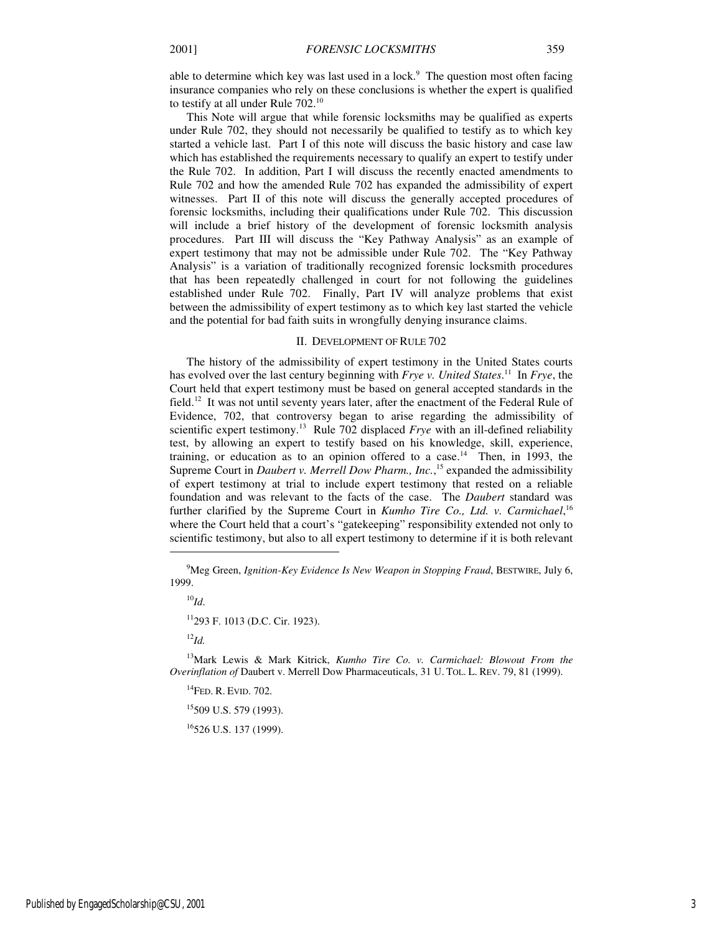able to determine which key was last used in a lock.<sup>9</sup> The question most often facing insurance companies who rely on these conclusions is whether the expert is qualified to testify at all under Rule  $702.^{10}$ 

This Note will argue that while forensic locksmiths may be qualified as experts under Rule 702, they should not necessarily be qualified to testify as to which key started a vehicle last. Part I of this note will discuss the basic history and case law which has established the requirements necessary to qualify an expert to testify under the Rule 702. In addition, Part I will discuss the recently enacted amendments to Rule 702 and how the amended Rule 702 has expanded the admissibility of expert witnesses. Part II of this note will discuss the generally accepted procedures of forensic locksmiths, including their qualifications under Rule 702. This discussion will include a brief history of the development of forensic locksmith analysis procedures. Part III will discuss the "Key Pathway Analysis" as an example of expert testimony that may not be admissible under Rule 702. The "Key Pathway Analysis" is a variation of traditionally recognized forensic locksmith procedures that has been repeatedly challenged in court for not following the guidelines established under Rule 702. Finally, Part IV will analyze problems that exist between the admissibility of expert testimony as to which key last started the vehicle and the potential for bad faith suits in wrongfully denying insurance claims.

#### II. DEVELOPMENT OF RULE 702

The history of the admissibility of expert testimony in the United States courts has evolved over the last century beginning with *Frye v. United States*. <sup>11</sup> In *Frye*, the Court held that expert testimony must be based on general accepted standards in the field.<sup>12</sup> It was not until seventy years later, after the enactment of the Federal Rule of Evidence, 702, that controversy began to arise regarding the admissibility of scientific expert testimony.<sup>13</sup> Rule 702 displaced *Frye* with an ill-defined reliability test, by allowing an expert to testify based on his knowledge, skill, experience, training, or education as to an opinion offered to a case.<sup>14</sup> Then, in 1993, the Supreme Court in *Daubert v. Merrell Dow Pharm., Inc.*,<sup>15</sup> expanded the admissibility of expert testimony at trial to include expert testimony that rested on a reliable foundation and was relevant to the facts of the case. The *Daubert* standard was further clarified by the Supreme Court in *Kumho Tire Co., Ltd. v. Carmichael*, 16 where the Court held that a court's "gatekeeping" responsibility extended not only to scientific testimony, but also to all expert testimony to determine if it is both relevant

<sup>10</sup>*Id*. <sup>11</sup>293 F. 1013 (D.C. Cir. 1923). <sup>12</sup>*Id.*

<sup>13</sup>Mark Lewis & Mark Kitrick, *Kumho Tire Co. v. Carmichael: Blowout From the Overinflation of* Daubert v. Merrell Dow Pharmaceuticals, 31 U. TOL. L. REV. 79, 81 (1999).

 $^{14}$ FED. R. EVID. 702.

 $\overline{a}$ 

 $15509$  U.S. 579 (1993).

<sup>16</sup>526 U.S. 137 (1999).

<sup>9</sup>Meg Green, *Ignition-Key Evidence Is New Weapon in Stopping Fraud*, BESTWIRE, July 6, 1999.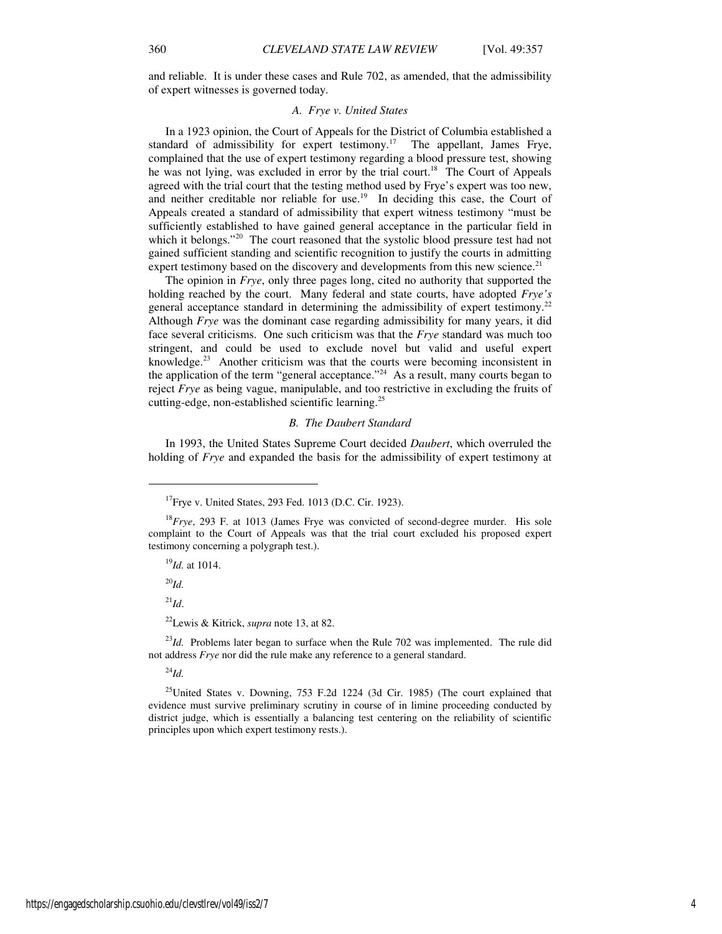and reliable. It is under these cases and Rule 702, as amended, that the admissibility of expert witnesses is governed today.

# *A. Frye v. United States*

In a 1923 opinion, the Court of Appeals for the District of Columbia established a standard of admissibility for expert testimony.<sup>17</sup> The appellant, James Frye, complained that the use of expert testimony regarding a blood pressure test, showing he was not lying, was excluded in error by the trial court.<sup>18</sup> The Court of Appeals agreed with the trial court that the testing method used by Frye's expert was too new, and neither creditable nor reliable for use.<sup>19</sup> In deciding this case, the Court of Appeals created a standard of admissibility that expert witness testimony "must be sufficiently established to have gained general acceptance in the particular field in which it belongs."<sup>20</sup> The court reasoned that the systolic blood pressure test had not gained sufficient standing and scientific recognition to justify the courts in admitting expert testimony based on the discovery and developments from this new science.<sup>21</sup>

The opinion in *Frye*, only three pages long, cited no authority that supported the holding reached by the court. Many federal and state courts, have adopted *Frye's*  general acceptance standard in determining the admissibility of expert testimony.<sup>22</sup> Although *Frye* was the dominant case regarding admissibility for many years, it did face several criticisms. One such criticism was that the *Frye* standard was much too stringent, and could be used to exclude novel but valid and useful expert knowledge.<sup>23</sup> Another criticism was that the courts were becoming inconsistent in the application of the term "general acceptance."<sup>24</sup> As a result, many courts began to reject *Frye* as being vague, manipulable, and too restrictive in excluding the fruits of cutting-edge, non-established scientific learning.<sup>25</sup>

#### *B. The Daubert Standard*

In 1993, the United States Supreme Court decided *Daubert*, which overruled the holding of *Frye* and expanded the basis for the admissibility of expert testimony at

<sup>19</sup>*Id.* at 1014.

<sup>20</sup>*Id.*

 $\overline{a}$ 

<sup>21</sup>*Id*.

<sup>22</sup>Lewis & Kitrick, *supra* note 13, at 82.

<sup>23</sup>Id. Problems later began to surface when the Rule 702 was implemented. The rule did not address *Frye* nor did the rule make any reference to a general standard.

<sup>24</sup>*Id.*

<sup>25</sup>United States v. Downing, 753 F.2d 1224 (3d Cir. 1985) (The court explained that evidence must survive preliminary scrutiny in course of in limine proceeding conducted by district judge, which is essentially a balancing test centering on the reliability of scientific principles upon which expert testimony rests.).

 $17$ Frye v. United States, 293 Fed. 1013 (D.C. Cir. 1923).

<sup>18</sup>*Frye*, 293 F. at 1013 (James Frye was convicted of second-degree murder. His sole complaint to the Court of Appeals was that the trial court excluded his proposed expert testimony concerning a polygraph test.).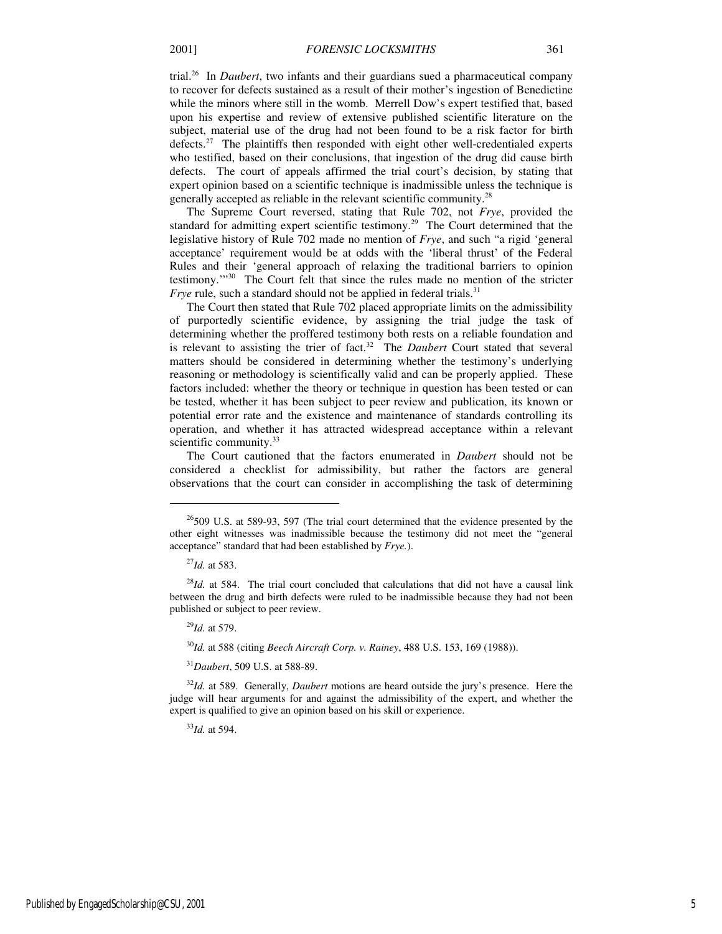trial.<sup>26</sup> In *Daubert*, two infants and their guardians sued a pharmaceutical company to recover for defects sustained as a result of their mother's ingestion of Benedictine while the minors where still in the womb. Merrell Dow's expert testified that, based upon his expertise and review of extensive published scientific literature on the subject, material use of the drug had not been found to be a risk factor for birth defects.<sup>27</sup> The plaintiffs then responded with eight other well-credentialed experts who testified, based on their conclusions, that ingestion of the drug did cause birth defects. The court of appeals affirmed the trial court's decision, by stating that expert opinion based on a scientific technique is inadmissible unless the technique is generally accepted as reliable in the relevant scientific community. $^{28}$ 

The Supreme Court reversed, stating that Rule 702, not *Frye*, provided the standard for admitting expert scientific testimony.<sup>29</sup> The Court determined that the legislative history of Rule 702 made no mention of *Frye*, and such "a rigid 'general acceptance' requirement would be at odds with the 'liberal thrust' of the Federal Rules and their 'general approach of relaxing the traditional barriers to opinion testimony.'"<sup>30</sup> The Court felt that since the rules made no mention of the stricter *Frye* rule, such a standard should not be applied in federal trials.<sup>31</sup>

The Court then stated that Rule 702 placed appropriate limits on the admissibility of purportedly scientific evidence, by assigning the trial judge the task of determining whether the proffered testimony both rests on a reliable foundation and is relevant to assisting the trier of fact.<sup>32</sup> The *Daubert* Court stated that several matters should be considered in determining whether the testimony's underlying reasoning or methodology is scientifically valid and can be properly applied. These factors included: whether the theory or technique in question has been tested or can be tested, whether it has been subject to peer review and publication, its known or potential error rate and the existence and maintenance of standards controlling its operation, and whether it has attracted widespread acceptance within a relevant scientific community.<sup>33</sup>

The Court cautioned that the factors enumerated in *Daubert* should not be considered a checklist for admissibility, but rather the factors are general observations that the court can consider in accomplishing the task of determining

j

<sup>30</sup>*Id.* at 588 (citing *Beech Aircraft Corp. v. Rainey*, 488 U.S. 153, 169 (1988)).

<sup>31</sup>*Daubert*, 509 U.S. at 588-89.

<sup>32</sup>*Id.* at 589. Generally, *Daubert* motions are heard outside the jury's presence. Here the judge will hear arguments for and against the admissibility of the expert, and whether the expert is qualified to give an opinion based on his skill or experience.

<sup>33</sup>*Id.* at 594.

 $26$ 509 U.S. at 589-93, 597 (The trial court determined that the evidence presented by the other eight witnesses was inadmissible because the testimony did not meet the "general acceptance" standard that had been established by *Frye.*).

<sup>27</sup>*Id.* at 583.

<sup>&</sup>lt;sup>28</sup>*Id.* at 584. The trial court concluded that calculations that did not have a causal link between the drug and birth defects were ruled to be inadmissible because they had not been published or subject to peer review.

<sup>29</sup>*Id.* at 579.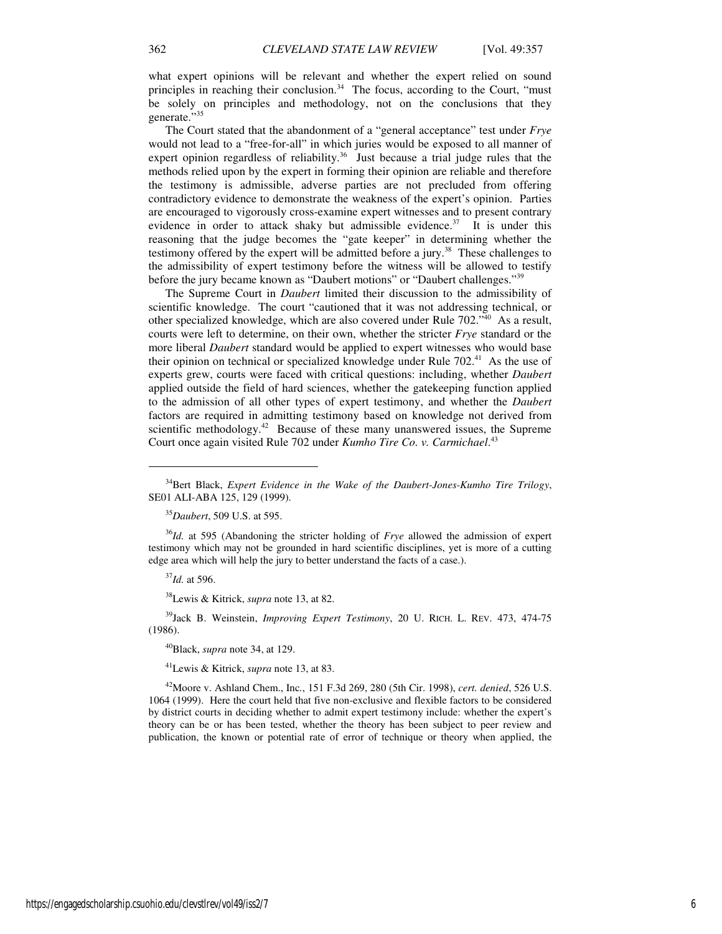what expert opinions will be relevant and whether the expert relied on sound principles in reaching their conclusion. $34$  The focus, according to the Court, "must" be solely on principles and methodology, not on the conclusions that they generate."<sup>35</sup>

The Court stated that the abandonment of a "general acceptance" test under *Frye* would not lead to a "free-for-all" in which juries would be exposed to all manner of expert opinion regardless of reliability.<sup>36</sup> Just because a trial judge rules that the methods relied upon by the expert in forming their opinion are reliable and therefore the testimony is admissible, adverse parties are not precluded from offering contradictory evidence to demonstrate the weakness of the expert's opinion. Parties are encouraged to vigorously cross-examine expert witnesses and to present contrary evidence in order to attack shaky but admissible evidence.<sup>37</sup> It is under this reasoning that the judge becomes the "gate keeper" in determining whether the testimony offered by the expert will be admitted before a jury.<sup>38</sup> These challenges to the admissibility of expert testimony before the witness will be allowed to testify before the jury became known as "Daubert motions" or "Daubert challenges."<sup>39</sup>

The Supreme Court in *Daubert* limited their discussion to the admissibility of scientific knowledge. The court "cautioned that it was not addressing technical, or other specialized knowledge, which are also covered under Rule 702."<sup>40</sup> As a result, courts were left to determine, on their own, whether the stricter *Frye* standard or the more liberal *Daubert* standard would be applied to expert witnesses who would base their opinion on technical or specialized knowledge under Rule 702.<sup>41</sup> As the use of experts grew, courts were faced with critical questions: including, whether *Daubert* applied outside the field of hard sciences, whether the gatekeeping function applied to the admission of all other types of expert testimony, and whether the *Daubert* factors are required in admitting testimony based on knowledge not derived from scientific methodology.<sup>42</sup> Because of these many unanswered issues, the Supreme Court once again visited Rule 702 under *Kumho Tire Co. v. Carmichael*. 43

<sup>36</sup>*Id.* at 595 (Abandoning the stricter holding of *Frye* allowed the admission of expert testimony which may not be grounded in hard scientific disciplines, yet is more of a cutting edge area which will help the jury to better understand the facts of a case.).

<sup>37</sup>*Id.* at 596.

 $\overline{a}$ 

<sup>38</sup>Lewis & Kitrick, *supra* note 13, at 82.

<sup>39</sup>Jack B. Weinstein, *Improving Expert Testimony*, 20 U. RICH. L. REV. 473, 474-75 (1986).

<sup>40</sup>Black, *supra* note 34, at 129.

<sup>41</sup>Lewis & Kitrick, *supra* note 13, at 83.

<sup>42</sup>Moore v. Ashland Chem., Inc*.*, 151 F.3d 269, 280 (5th Cir. 1998), *cert. denied*, 526 U.S. 1064 (1999). Here the court held that five non-exclusive and flexible factors to be considered by district courts in deciding whether to admit expert testimony include: whether the expert's theory can be or has been tested, whether the theory has been subject to peer review and publication, the known or potential rate of error of technique or theory when applied, the

<sup>34</sup>Bert Black, *Expert Evidence in the Wake of the Daubert-Jones-Kumho Tire Trilogy*, SE01 ALI-ABA 125, 129 (1999).

<sup>35</sup>*Daubert*, 509 U.S. at 595.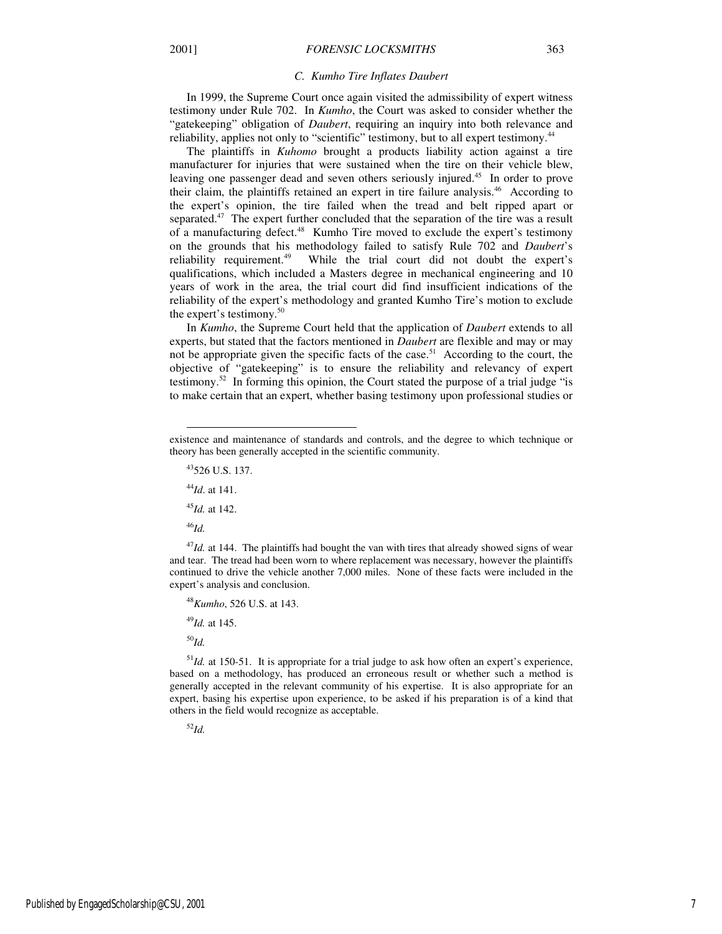#### *C. Kumho Tire Inflates Daubert*

In 1999, the Supreme Court once again visited the admissibility of expert witness testimony under Rule 702. In *Kumho*, the Court was asked to consider whether the "gatekeeping" obligation of *Daubert*, requiring an inquiry into both relevance and reliability, applies not only to "scientific" testimony, but to all expert testimony.<sup>44</sup>

The plaintiffs in *Kuhomo* brought a products liability action against a tire manufacturer for injuries that were sustained when the tire on their vehicle blew, leaving one passenger dead and seven others seriously injured.<sup>45</sup> In order to prove their claim, the plaintiffs retained an expert in tire failure analysis.<sup>46</sup> According to the expert's opinion, the tire failed when the tread and belt ripped apart or separated.<sup>47</sup> The expert further concluded that the separation of the tire was a result of a manufacturing defect.<sup>48</sup> Kumho Tire moved to exclude the expert's testimony on the grounds that his methodology failed to satisfy Rule 702 and *Daubert*'s reliability requirement.<sup>49</sup> While the trial court did not doubt the expert's qualifications, which included a Masters degree in mechanical engineering and 10 years of work in the area, the trial court did find insufficient indications of the reliability of the expert's methodology and granted Kumho Tire's motion to exclude the expert's testimony. $50$ 

In *Kumho*, the Supreme Court held that the application of *Daubert* extends to all experts, but stated that the factors mentioned in *Daubert* are flexible and may or may not be appropriate given the specific facts of the case.<sup>51</sup> According to the court, the objective of "gatekeeping" is to ensure the reliability and relevancy of expert testimony.<sup>52</sup> In forming this opinion, the Court stated the purpose of a trial judge "is to make certain that an expert, whether basing testimony upon professional studies or

<sup>43</sup>526 U.S. 137.

<sup>44</sup>*Id*. at 141.

<sup>45</sup>*Id.* at 142.

<sup>46</sup>*Id.*

-

<sup>47</sup>*Id.* at 144. The plaintiffs had bought the van with tires that already showed signs of wear and tear. The tread had been worn to where replacement was necessary, however the plaintiffs continued to drive the vehicle another 7,000 miles. None of these facts were included in the expert's analysis and conclusion.

<sup>48</sup>*Kumho*, 526 U.S. at 143.

<sup>49</sup>*Id.* at 145.

<sup>50</sup>*Id.*

<sup>51</sup>Id. at 150-51. It is appropriate for a trial judge to ask how often an expert's experience, based on a methodology, has produced an erroneous result or whether such a method is generally accepted in the relevant community of his expertise. It is also appropriate for an expert, basing his expertise upon experience, to be asked if his preparation is of a kind that others in the field would recognize as acceptable.

<sup>52</sup>*Id.*

existence and maintenance of standards and controls, and the degree to which technique or theory has been generally accepted in the scientific community.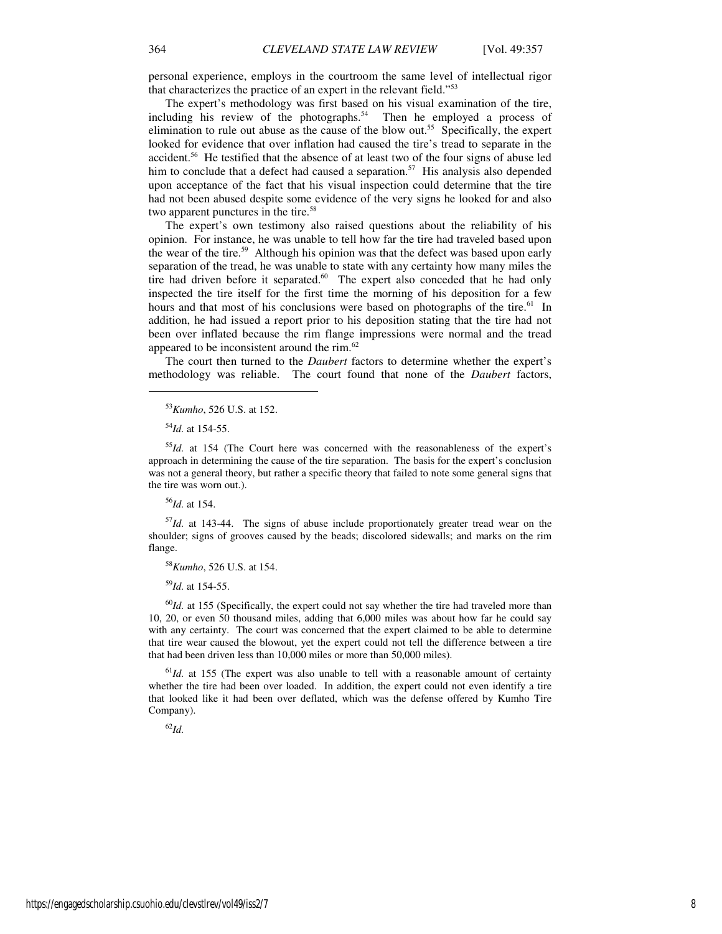personal experience, employs in the courtroom the same level of intellectual rigor that characterizes the practice of an expert in the relevant field."<sup>53</sup>

The expert's methodology was first based on his visual examination of the tire, including his review of the photographs. $54$  Then he employed a process of elimination to rule out abuse as the cause of the blow out.<sup>55</sup> Specifically, the expert looked for evidence that over inflation had caused the tire's tread to separate in the accident.<sup>56</sup> He testified that the absence of at least two of the four signs of abuse led him to conclude that a defect had caused a separation.<sup>57</sup> His analysis also depended upon acceptance of the fact that his visual inspection could determine that the tire had not been abused despite some evidence of the very signs he looked for and also two apparent punctures in the tire.<sup>58</sup>

The expert's own testimony also raised questions about the reliability of his opinion. For instance, he was unable to tell how far the tire had traveled based upon the wear of the tire.<sup>59</sup> Although his opinion was that the defect was based upon early separation of the tread, he was unable to state with any certainty how many miles the tire had driven before it separated.<sup>60</sup> The expert also conceded that he had only inspected the tire itself for the first time the morning of his deposition for a few hours and that most of his conclusions were based on photographs of the tire.<sup>61</sup> In addition, he had issued a report prior to his deposition stating that the tire had not been over inflated because the rim flange impressions were normal and the tread appeared to be inconsistent around the rim.<sup>62</sup>

The court then turned to the *Daubert* factors to determine whether the expert's methodology was reliable. The court found that none of the *Daubert* factors,

<sup>54</sup>*Id.* at 154-55.

j

<sup>56</sup>*Id.* at 154.

<sup>57</sup>*Id.* at 143-44. The signs of abuse include proportionately greater tread wear on the shoulder; signs of grooves caused by the beads; discolored sidewalls; and marks on the rim flange.

<sup>58</sup>*Kumho*, 526 U.S. at 154.

<sup>59</sup>*Id.* at 154-55.

<sup>60</sup>*Id.* at 155 (Specifically, the expert could not say whether the tire had traveled more than 10, 20, or even 50 thousand miles, adding that 6,000 miles was about how far he could say with any certainty. The court was concerned that the expert claimed to be able to determine that tire wear caused the blowout, yet the expert could not tell the difference between a tire that had been driven less than 10,000 miles or more than 50,000 miles).

 $61$ *Id.* at 155 (The expert was also unable to tell with a reasonable amount of certainty whether the tire had been over loaded. In addition, the expert could not even identify a tire that looked like it had been over deflated, which was the defense offered by Kumho Tire Company).

<sup>62</sup>*Id.*

<sup>53</sup>*Kumho*, 526 U.S. at 152.

<sup>55</sup>*Id.* at 154 (The Court here was concerned with the reasonableness of the expert's approach in determining the cause of the tire separation. The basis for the expert's conclusion was not a general theory, but rather a specific theory that failed to note some general signs that the tire was worn out.).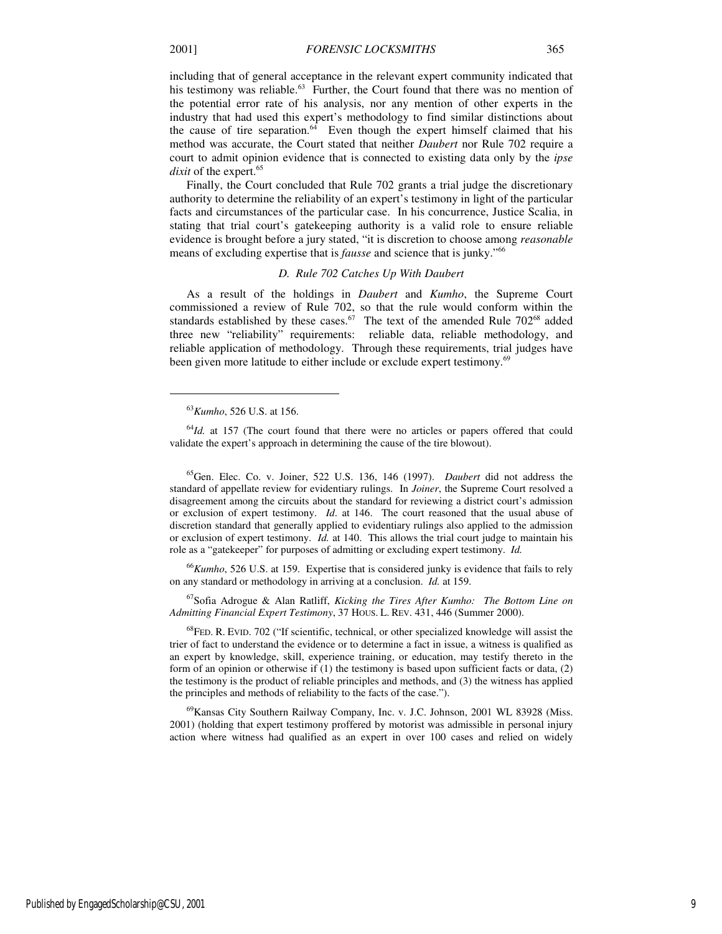including that of general acceptance in the relevant expert community indicated that his testimony was reliable.<sup>63</sup> Further, the Court found that there was no mention of the potential error rate of his analysis, nor any mention of other experts in the industry that had used this expert's methodology to find similar distinctions about the cause of tire separation. $64$  Even though the expert himself claimed that his method was accurate, the Court stated that neither *Daubert* nor Rule 702 require a court to admit opinion evidence that is connected to existing data only by the *ipse dixit* of the expert.<sup>65</sup>

Finally, the Court concluded that Rule 702 grants a trial judge the discretionary authority to determine the reliability of an expert's testimony in light of the particular facts and circumstances of the particular case. In his concurrence, Justice Scalia, in stating that trial court's gatekeeping authority is a valid role to ensure reliable evidence is brought before a jury stated, "it is discretion to choose among *reasonable* means of excluding expertise that is *fausse* and science that is junky."<sup>66</sup>

## *D. Rule 702 Catches Up With Daubert*

As a result of the holdings in *Daubert* and *Kumho*, the Supreme Court commissioned a review of Rule 702, so that the rule would conform within the standards established by these cases.<sup>67</sup> The text of the amended Rule  $702^{68}$  added three new "reliability" requirements: reliable data, reliable methodology, and reliable application of methodology. Through these requirements, trial judges have been given more latitude to either include or exclude expert testimony.<sup>69</sup>

 $\overline{a}$ 

<sup>65</sup>Gen. Elec. Co. v. Joiner, 522 U.S. 136, 146 (1997). *Daubert* did not address the standard of appellate review for evidentiary rulings. In *Joiner*, the Supreme Court resolved a disagreement among the circuits about the standard for reviewing a district court's admission or exclusion of expert testimony. *Id*. at 146. The court reasoned that the usual abuse of discretion standard that generally applied to evidentiary rulings also applied to the admission or exclusion of expert testimony. *Id.* at 140. This allows the trial court judge to maintain his role as a "gatekeeper" for purposes of admitting or excluding expert testimony. *Id.* 

<sup>66</sup>*Kumho*, 526 U.S. at 159. Expertise that is considered junky is evidence that fails to rely on any standard or methodology in arriving at a conclusion. *Id.* at 159.

<sup>67</sup>Sofia Adrogue & Alan Ratliff, *Kicking the Tires After Kumho: The Bottom Line on Admitting Financial Expert Testimony*, 37 HOUS. L. REV. 431, 446 (Summer 2000).

 $^{68}$ FED. R. EVID. 702 ("If scientific, technical, or other specialized knowledge will assist the trier of fact to understand the evidence or to determine a fact in issue, a witness is qualified as an expert by knowledge, skill, experience training, or education, may testify thereto in the form of an opinion or otherwise if (1) the testimony is based upon sufficient facts or data, (2) the testimony is the product of reliable principles and methods, and (3) the witness has applied the principles and methods of reliability to the facts of the case.").

<sup>69</sup>Kansas City Southern Railway Company, Inc. v. J.C. Johnson, 2001 WL 83928 (Miss. 2001) (holding that expert testimony proffered by motorist was admissible in personal injury action where witness had qualified as an expert in over 100 cases and relied on widely

<sup>63</sup>*Kumho*, 526 U.S. at 156.

<sup>&</sup>lt;sup>64</sup>Id. at 157 (The court found that there were no articles or papers offered that could validate the expert's approach in determining the cause of the tire blowout).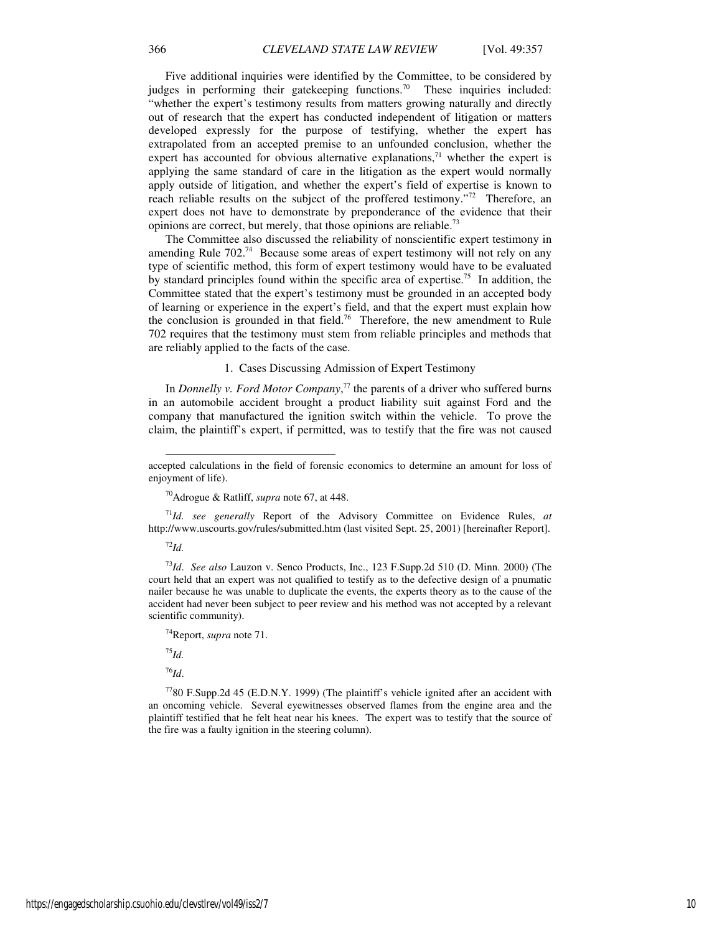Five additional inquiries were identified by the Committee, to be considered by judges in performing their gatekeeping functions.<sup>70</sup> These inquiries included: "whether the expert's testimony results from matters growing naturally and directly out of research that the expert has conducted independent of litigation or matters developed expressly for the purpose of testifying, whether the expert has extrapolated from an accepted premise to an unfounded conclusion, whether the expert has accounted for obvious alternative explanations, $71$  whether the expert is applying the same standard of care in the litigation as the expert would normally apply outside of litigation, and whether the expert's field of expertise is known to reach reliable results on the subject of the proffered testimony."<sup>72</sup> Therefore, an expert does not have to demonstrate by preponderance of the evidence that their opinions are correct, but merely, that those opinions are reliable.<sup>73</sup>

The Committee also discussed the reliability of nonscientific expert testimony in amending Rule 702.<sup>74</sup> Because some areas of expert testimony will not rely on any type of scientific method, this form of expert testimony would have to be evaluated by standard principles found within the specific area of expertise.<sup>75</sup> In addition, the Committee stated that the expert's testimony must be grounded in an accepted body of learning or experience in the expert's field, and that the expert must explain how the conclusion is grounded in that field.<sup>76</sup> Therefore, the new amendment to Rule 702 requires that the testimony must stem from reliable principles and methods that are reliably applied to the facts of the case.

# 1. Cases Discussing Admission of Expert Testimony

In *Donnelly v. Ford Motor Company*, <sup>77</sup> the parents of a driver who suffered burns in an automobile accident brought a product liability suit against Ford and the company that manufactured the ignition switch within the vehicle. To prove the claim, the plaintiff's expert, if permitted, was to testify that the fire was not caused

<sup>71</sup>*Id. see generally* Report of the Advisory Committee on Evidence Rules, *at*  http://www.uscourts.gov/rules/submitted.htm (last visited Sept. 25, 2001) [hereinafter Report].

<sup>72</sup>*Id.*

l

<sup>73</sup>*Id*. *See also* Lauzon v. Senco Products, Inc., 123 F.Supp.2d 510 (D. Minn. 2000) (The court held that an expert was not qualified to testify as to the defective design of a pnumatic nailer because he was unable to duplicate the events, the experts theory as to the cause of the accident had never been subject to peer review and his method was not accepted by a relevant scientific community).

<sup>75</sup>*Id.*

<sup>76</sup>*Id*.

<sup>77</sup>80 F.Supp.2d 45 (E.D.N.Y. 1999) (The plaintiff's vehicle ignited after an accident with an oncoming vehicle. Several eyewitnesses observed flames from the engine area and the plaintiff testified that he felt heat near his knees. The expert was to testify that the source of the fire was a faulty ignition in the steering column).

accepted calculations in the field of forensic economics to determine an amount for loss of enjoyment of life).

<sup>70</sup>Adrogue & Ratliff, *supra* note 67, at 448.

<sup>74</sup>Report, *supra* note 71.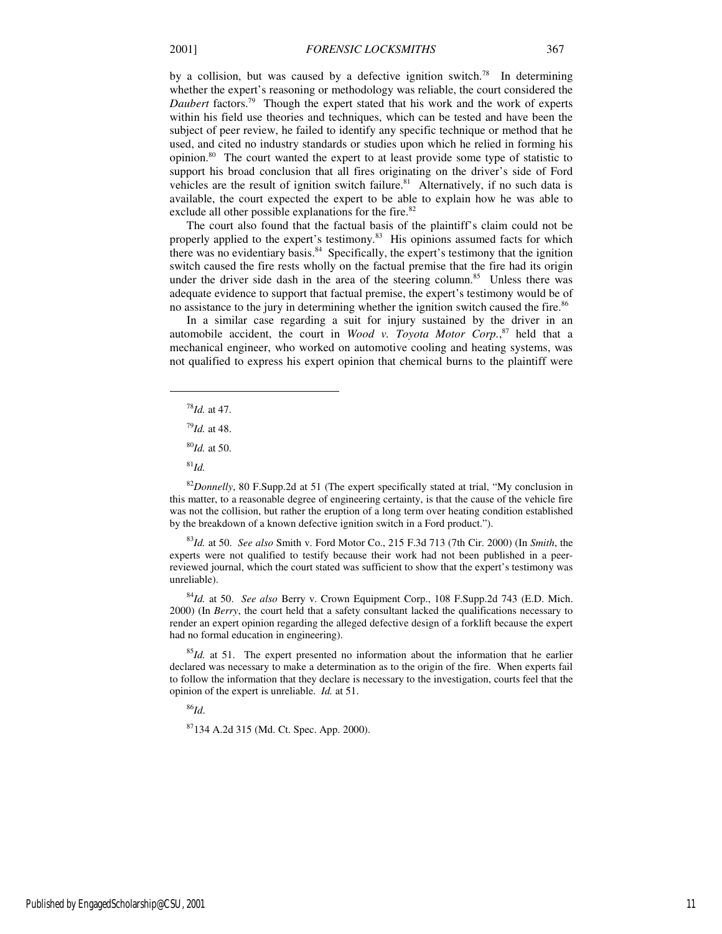by a collision, but was caused by a defective ignition switch.<sup>78</sup> In determining whether the expert's reasoning or methodology was reliable, the court considered the *Daubert* factors.<sup>79</sup> Though the expert stated that his work and the work of experts within his field use theories and techniques, which can be tested and have been the subject of peer review, he failed to identify any specific technique or method that he used, and cited no industry standards or studies upon which he relied in forming his opinion.<sup>80</sup> The court wanted the expert to at least provide some type of statistic to support his broad conclusion that all fires originating on the driver's side of Ford vehicles are the result of ignition switch failure. $81$  Alternatively, if no such data is available, the court expected the expert to be able to explain how he was able to exclude all other possible explanations for the fire.<sup>82</sup>

The court also found that the factual basis of the plaintiff's claim could not be properly applied to the expert's testimony.<sup>83</sup> His opinions assumed facts for which there was no evidentiary basis.<sup>84</sup> Specifically, the expert's testimony that the ignition switch caused the fire rests wholly on the factual premise that the fire had its origin under the driver side dash in the area of the steering column.<sup>85</sup> Unless there was adequate evidence to support that factual premise, the expert's testimony would be of no assistance to the jury in determining whether the ignition switch caused the fire.<sup>86</sup>

In a similar case regarding a suit for injury sustained by the driver in an automobile accident, the court in *Wood v. Toyota Motor Corp.*, <sup>87</sup> held that a mechanical engineer, who worked on automotive cooling and heating systems, was not qualified to express his expert opinion that chemical burns to the plaintiff were

- <sup>78</sup>*Id.* at 47.
- <sup>79</sup>*Id.* at 48.
- <sup>80</sup>*Id.* at 50.
- <sup>81</sup>*Id.*

1

<sup>82</sup>*Donnelly*, 80 F.Supp.2d at 51 (The expert specifically stated at trial, "My conclusion in this matter, to a reasonable degree of engineering certainty, is that the cause of the vehicle fire was not the collision, but rather the eruption of a long term over heating condition established by the breakdown of a known defective ignition switch in a Ford product.").

<sup>83</sup>*Id.* at 50. *See also* Smith v. Ford Motor Co., 215 F.3d 713 (7th Cir. 2000) (In *Smith*, the experts were not qualified to testify because their work had not been published in a peerreviewed journal, which the court stated was sufficient to show that the expert's testimony was unreliable).

<sup>84</sup>*Id.* at 50. *See also* Berry v. Crown Equipment Corp., 108 F.Supp.2d 743 (E.D. Mich. 2000) (In *Berry*, the court held that a safety consultant lacked the qualifications necessary to render an expert opinion regarding the alleged defective design of a forklift because the expert had no formal education in engineering).

<sup>85</sup>*Id.* at 51. The expert presented no information about the information that he earlier declared was necessary to make a determination as to the origin of the fire. When experts fail to follow the information that they declare is necessary to the investigation, courts feel that the opinion of the expert is unreliable. *Id.* at 51.

<sup>86</sup>*Id*.

<sup>87</sup>134 A.2d 315 (Md. Ct. Spec. App. 2000).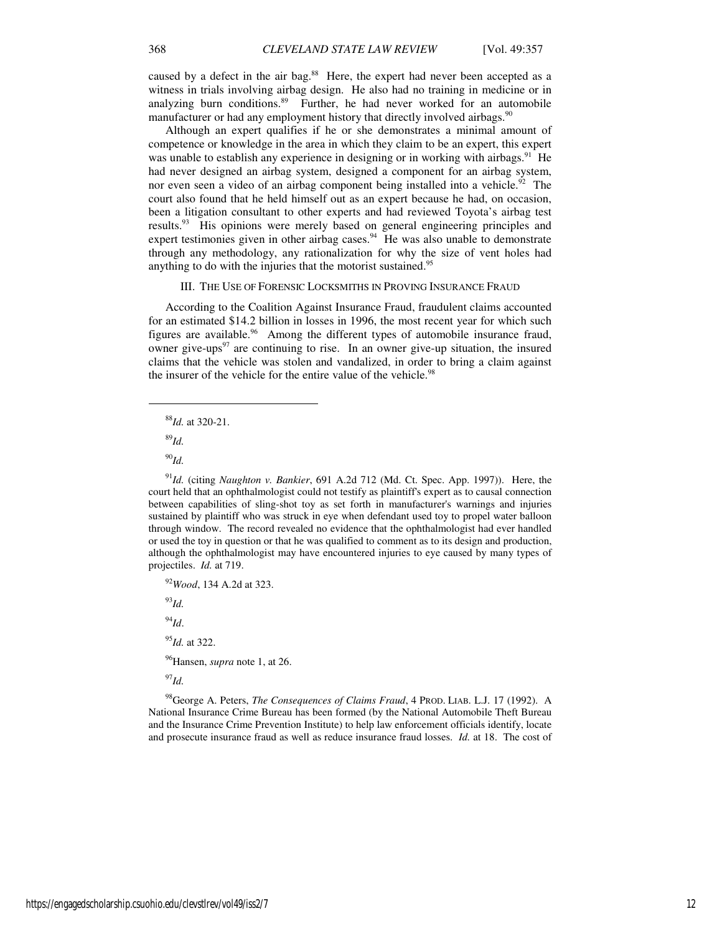caused by a defect in the air bag.<sup>88</sup> Here, the expert had never been accepted as a witness in trials involving airbag design. He also had no training in medicine or in analyzing burn conditions.<sup>89</sup> Further, he had never worked for an automobile manufacturer or had any employment history that directly involved airbags.<sup>90</sup>

Although an expert qualifies if he or she demonstrates a minimal amount of competence or knowledge in the area in which they claim to be an expert, this expert was unable to establish any experience in designing or in working with airbags.<sup>91</sup> He had never designed an airbag system, designed a component for an airbag system, nor even seen a video of an airbag component being installed into a vehicle.<sup>92</sup> The court also found that he held himself out as an expert because he had, on occasion, been a litigation consultant to other experts and had reviewed Toyota's airbag test results.<sup>93</sup> His opinions were merely based on general engineering principles and expert testimonies given in other airbag cases.<sup>94</sup> He was also unable to demonstrate through any methodology, any rationalization for why the size of vent holes had anything to do with the injuries that the motorist sustained.<sup>95</sup>

# III. THE USE OF FORENSIC LOCKSMITHS IN PROVING INSURANCE FRAUD

According to the Coalition Against Insurance Fraud, fraudulent claims accounted for an estimated \$14.2 billion in losses in 1996, the most recent year for which such figures are available.<sup>96</sup> Among the different types of automobile insurance fraud, owner give-ups $97$  are continuing to rise. In an owner give-up situation, the insured claims that the vehicle was stolen and vandalized, in order to bring a claim against the insurer of the vehicle for the entire value of the vehicle.<sup>98</sup>

<sup>88</sup>*Id.* at 320-21.

<sup>89</sup>*Id.*

1

<sup>90</sup>*Id.*

<sup>91</sup>*Id.* (citing *Naughton v. Bankier*, 691 A.2d 712 (Md. Ct. Spec. App. 1997)). Here, the court held that an ophthalmologist could not testify as plaintiff's expert as to causal connection between capabilities of sling-shot toy as set forth in manufacturer's warnings and injuries sustained by plaintiff who was struck in eye when defendant used toy to propel water balloon through window. The record revealed no evidence that the ophthalmologist had ever handled or used the toy in question or that he was qualified to comment as to its design and production, although the ophthalmologist may have encountered injuries to eye caused by many types of projectiles. *Id.* at 719.

<sup>92</sup>*Wood*, 134 A.2d at 323.

<sup>93</sup>*Id.*

<sup>94</sup>*Id*.

<sup>95</sup>*Id.* at 322.

<sup>96</sup>Hansen, *supra* note 1, at 26.

<sup>97</sup>*Id.*

<sup>98</sup>George A. Peters, *The Consequences of Claims Fraud*, 4 PROD. LIAB. L.J. 17 (1992). A National Insurance Crime Bureau has been formed (by the National Automobile Theft Bureau and the Insurance Crime Prevention Institute) to help law enforcement officials identify, locate and prosecute insurance fraud as well as reduce insurance fraud losses. *Id.* at 18. The cost of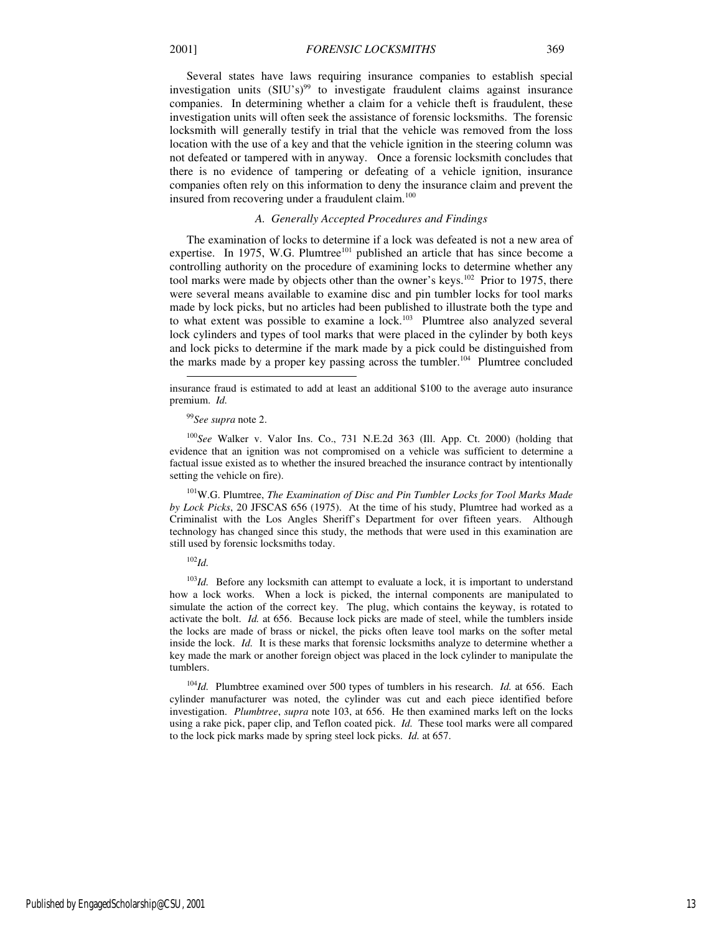Several states have laws requiring insurance companies to establish special investigation units  $(SIU's)^{99}$  to investigate fraudulent claims against insurance companies. In determining whether a claim for a vehicle theft is fraudulent, these investigation units will often seek the assistance of forensic locksmiths. The forensic locksmith will generally testify in trial that the vehicle was removed from the loss location with the use of a key and that the vehicle ignition in the steering column was not defeated or tampered with in anyway. Once a forensic locksmith concludes that there is no evidence of tampering or defeating of a vehicle ignition, insurance companies often rely on this information to deny the insurance claim and prevent the insured from recovering under a fraudulent claim.<sup>100</sup>

# *A. Generally Accepted Procedures and Findings*

The examination of locks to determine if a lock was defeated is not a new area of expertise. In 1975, W.G. Plumtree<sup>101</sup> published an article that has since become a controlling authority on the procedure of examining locks to determine whether any tool marks were made by objects other than the owner's keys.<sup>102</sup> Prior to 1975, there were several means available to examine disc and pin tumbler locks for tool marks made by lock picks, but no articles had been published to illustrate both the type and to what extent was possible to examine a  $lock.^{103}$  Plumtree also analyzed several lock cylinders and types of tool marks that were placed in the cylinder by both keys and lock picks to determine if the mark made by a pick could be distinguished from the marks made by a proper key passing across the tumbler.<sup>104</sup> Plumtree concluded

<sup>100</sup>*See* Walker v. Valor Ins. Co., 731 N.E.2d 363 (Ill. App. Ct. 2000) (holding that evidence that an ignition was not compromised on a vehicle was sufficient to determine a factual issue existed as to whether the insured breached the insurance contract by intentionally setting the vehicle on fire).

<sup>101</sup>W.G. Plumtree, *The Examination of Disc and Pin Tumbler Locks for Tool Marks Made by Lock Picks*, 20 JFSCAS 656 (1975). At the time of his study, Plumtree had worked as a Criminalist with the Los Angles Sheriff's Department for over fifteen years. Although technology has changed since this study, the methods that were used in this examination are still used by forensic locksmiths today.

<sup>102</sup>*Id.* 

-

<sup>103</sup>*Id.* Before any locksmith can attempt to evaluate a lock, it is important to understand how a lock works. When a lock is picked, the internal components are manipulated to simulate the action of the correct key. The plug, which contains the keyway, is rotated to activate the bolt. *Id.* at 656. Because lock picks are made of steel, while the tumblers inside the locks are made of brass or nickel, the picks often leave tool marks on the softer metal inside the lock. *Id.* It is these marks that forensic locksmiths analyze to determine whether a key made the mark or another foreign object was placed in the lock cylinder to manipulate the tumblers.

<sup>104</sup>*Id.* Plumbtree examined over 500 types of tumblers in his research. *Id.* at 656. Each cylinder manufacturer was noted, the cylinder was cut and each piece identified before investigation. *Plumbtree*, *supra* note 103, at 656. He then examined marks left on the locks using a rake pick, paper clip, and Teflon coated pick. *Id.* These tool marks were all compared to the lock pick marks made by spring steel lock picks. *Id.* at 657.

insurance fraud is estimated to add at least an additional \$100 to the average auto insurance premium. *Id.* 

<sup>99</sup>*See supra* note 2.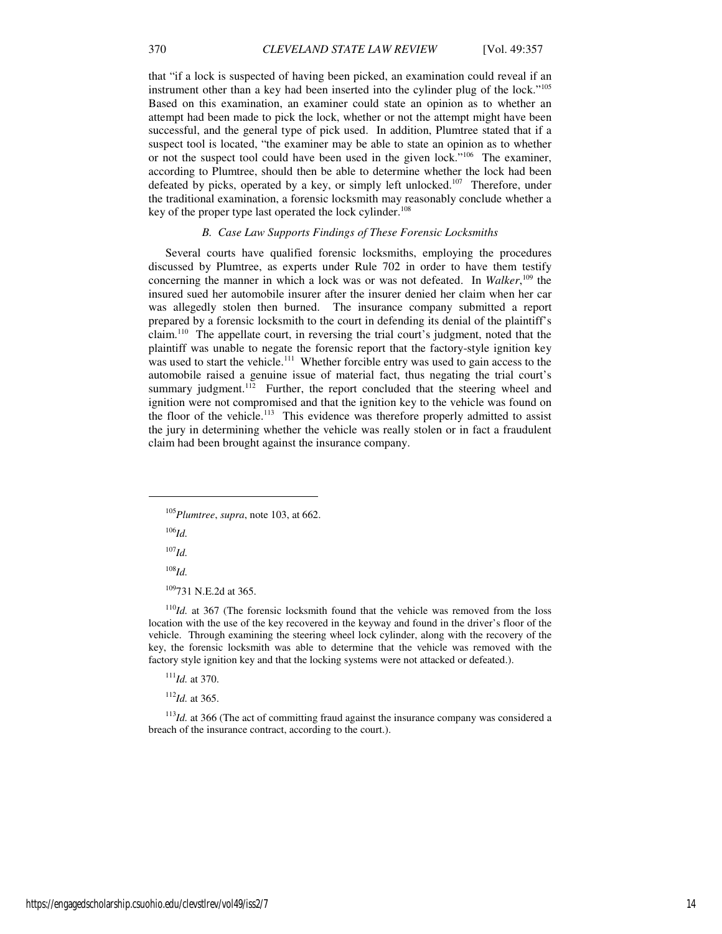that "if a lock is suspected of having been picked, an examination could reveal if an instrument other than a key had been inserted into the cylinder plug of the lock."<sup>105</sup> Based on this examination, an examiner could state an opinion as to whether an attempt had been made to pick the lock, whether or not the attempt might have been successful, and the general type of pick used. In addition, Plumtree stated that if a suspect tool is located, "the examiner may be able to state an opinion as to whether or not the suspect tool could have been used in the given lock."<sup>106</sup> The examiner, according to Plumtree, should then be able to determine whether the lock had been defeated by picks, operated by a key, or simply left unlocked.<sup>107</sup> Therefore, under the traditional examination, a forensic locksmith may reasonably conclude whether a key of the proper type last operated the lock cylinder.<sup>108</sup>

# *B. Case Law Supports Findings of These Forensic Locksmiths*

Several courts have qualified forensic locksmiths, employing the procedures discussed by Plumtree, as experts under Rule 702 in order to have them testify concerning the manner in which a lock was or was not defeated. In *Walker*, <sup>109</sup> the insured sued her automobile insurer after the insurer denied her claim when her car was allegedly stolen then burned. The insurance company submitted a report prepared by a forensic locksmith to the court in defending its denial of the plaintiff's claim.<sup>110</sup> The appellate court, in reversing the trial court's judgment, noted that the plaintiff was unable to negate the forensic report that the factory-style ignition key was used to start the vehicle.<sup>111</sup> Whether forcible entry was used to gain access to the automobile raised a genuine issue of material fact, thus negating the trial court's summary judgment.<sup>112</sup> Further, the report concluded that the steering wheel and ignition were not compromised and that the ignition key to the vehicle was found on the floor of the vehicle.<sup>113</sup> This evidence was therefore properly admitted to assist the jury in determining whether the vehicle was really stolen or in fact a fraudulent claim had been brought against the insurance company.

<sup>106</sup>*Id.*

j

 $^{107}$ *Id.* 

<sup>108</sup>*Id.*

<sup>109</sup>731 N.E.2d at 365.

<sup>110</sup>*Id.* at 367 (The forensic locksmith found that the vehicle was removed from the loss location with the use of the key recovered in the keyway and found in the driver's floor of the vehicle. Through examining the steering wheel lock cylinder, along with the recovery of the key, the forensic locksmith was able to determine that the vehicle was removed with the factory style ignition key and that the locking systems were not attacked or defeated.).

<sup>111</sup>*Id.* at 370.

<sup>112</sup>*Id.* at 365.

<sup>113</sup>*Id.* at 366 (The act of committing fraud against the insurance company was considered a breach of the insurance contract, according to the court.).

<sup>105</sup>*Plumtree*, *supra*, note 103, at 662.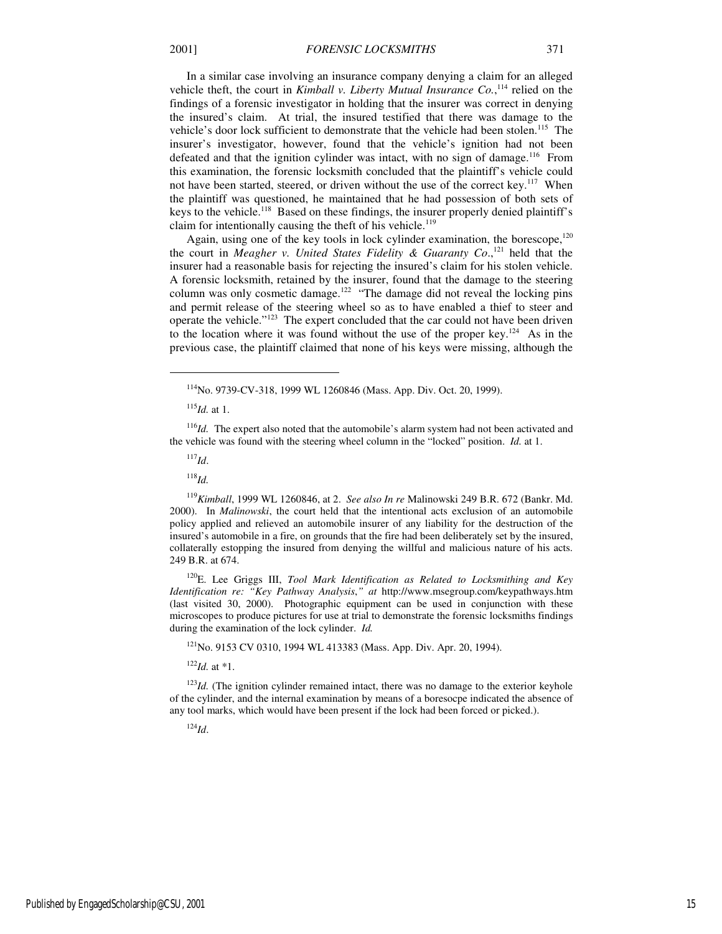In a similar case involving an insurance company denying a claim for an alleged vehicle theft, the court in *Kimball v. Liberty Mutual Insurance Co.*,<sup>114</sup> relied on the findings of a forensic investigator in holding that the insurer was correct in denying the insured's claim. At trial, the insured testified that there was damage to the vehicle's door lock sufficient to demonstrate that the vehicle had been stolen.<sup>115</sup> The insurer's investigator, however, found that the vehicle's ignition had not been defeated and that the ignition cylinder was intact, with no sign of damage.<sup>116</sup> From this examination, the forensic locksmith concluded that the plaintiff's vehicle could not have been started, steered, or driven without the use of the correct key.<sup>117</sup> When the plaintiff was questioned, he maintained that he had possession of both sets of keys to the vehicle.<sup>118</sup> Based on these findings, the insurer properly denied plaintiff's claim for intentionally causing the theft of his vehicle. $119$ 

Again, using one of the key tools in lock cylinder examination, the borescope,<sup>120</sup> the court in *Meagher v. United States Fidelity & Guaranty Co*., <sup>121</sup> held that the insurer had a reasonable basis for rejecting the insured's claim for his stolen vehicle. A forensic locksmith, retained by the insurer, found that the damage to the steering column was only cosmetic damage.<sup>122</sup> "The damage did not reveal the locking pins and permit release of the steering wheel so as to have enabled a thief to steer and operate the vehicle."<sup>123</sup> The expert concluded that the car could not have been driven to the location where it was found without the use of the proper key.<sup>124</sup> As in the previous case, the plaintiff claimed that none of his keys were missing, although the

<sup>116</sup>*Id.* The expert also noted that the automobile's alarm system had not been activated and the vehicle was found with the steering wheel column in the "locked" position. *Id.* at 1.

<sup>117</sup>*Id*.

1

<sup>118</sup>*Id.*

<sup>119</sup>*Kimball*, 1999 WL 1260846, at 2. *See also In re* Malinowski 249 B.R. 672 (Bankr. Md. 2000). In *Malinowski*, the court held that the intentional acts exclusion of an automobile policy applied and relieved an automobile insurer of any liability for the destruction of the insured's automobile in a fire, on grounds that the fire had been deliberately set by the insured, collaterally estopping the insured from denying the willful and malicious nature of his acts. 249 B.R. at 674.

<sup>120</sup>E. Lee Griggs III, *Tool Mark Identification as Related to Locksmithing and Key Identification re: "Key Pathway Analysis*,*" at* http://www.msegroup.com/keypathways.htm (last visited 30, 2000). Photographic equipment can be used in conjunction with these microscopes to produce pictures for use at trial to demonstrate the forensic locksmiths findings during the examination of the lock cylinder. *Id.* 

<sup>121</sup>No. 9153 CV 0310, 1994 WL 413383 (Mass. App. Div. Apr. 20, 1994).

<sup>122</sup>*Id.* at \*1.

<sup>123</sup>*Id.* (The ignition cylinder remained intact, there was no damage to the exterior keyhole of the cylinder, and the internal examination by means of a boresocpe indicated the absence of any tool marks, which would have been present if the lock had been forced or picked.).

<sup>124</sup>*Id*.

<sup>114</sup>No. 9739-CV-318, 1999 WL 1260846 (Mass. App. Div. Oct. 20, 1999).

 $^{115}$ *Id.* at 1.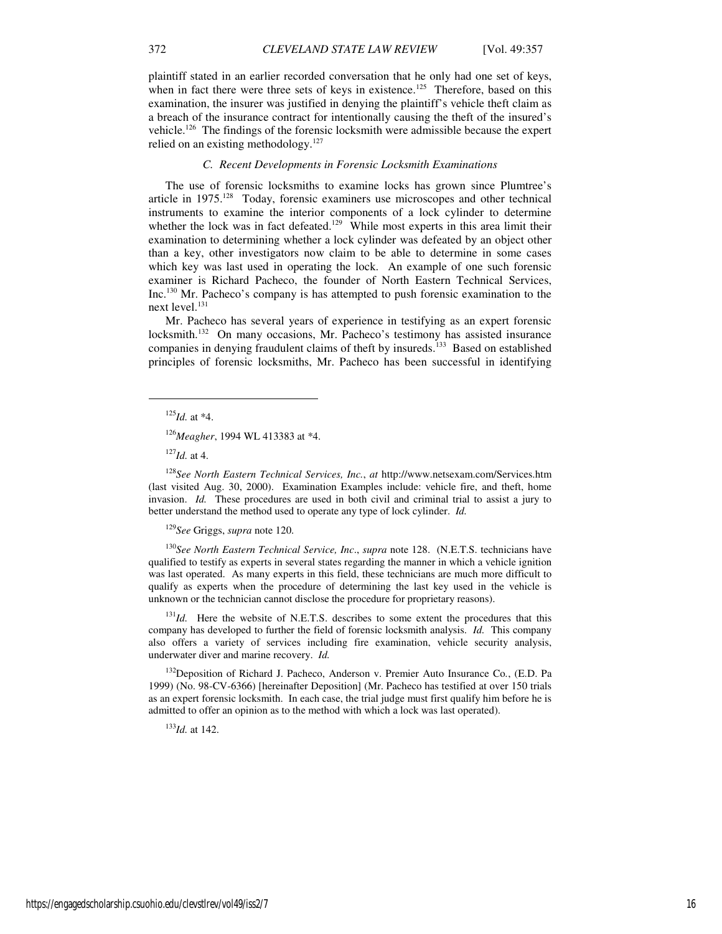plaintiff stated in an earlier recorded conversation that he only had one set of keys, when in fact there were three sets of keys in existence.<sup>125</sup> Therefore, based on this examination, the insurer was justified in denying the plaintiff's vehicle theft claim as a breach of the insurance contract for intentionally causing the theft of the insured's vehicle.<sup>126</sup> The findings of the forensic locksmith were admissible because the expert relied on an existing methodology.<sup>127</sup>

## *C. Recent Developments in Forensic Locksmith Examinations*

The use of forensic locksmiths to examine locks has grown since Plumtree's article in  $1975$ <sup>128</sup> Today, forensic examiners use microscopes and other technical instruments to examine the interior components of a lock cylinder to determine whether the lock was in fact defeated.<sup>129</sup> While most experts in this area limit their examination to determining whether a lock cylinder was defeated by an object other than a key, other investigators now claim to be able to determine in some cases which key was last used in operating the lock. An example of one such forensic examiner is Richard Pacheco, the founder of North Eastern Technical Services, Inc.<sup>130</sup> Mr. Pacheco's company is has attempted to push forensic examination to the next level.<sup>131</sup>

Mr. Pacheco has several years of experience in testifying as an expert forensic locksmith.<sup>132</sup> On many occasions, Mr. Pacheco's testimony has assisted insurance companies in denying fraudulent claims of theft by insureds.<sup>133</sup> Based on established principles of forensic locksmiths, Mr. Pacheco has been successful in identifying

j

<sup>126</sup>*Meagher*, 1994 WL 413383 at \*4.

<sup>127</sup>*Id.* at 4.

<sup>128</sup>*See North Eastern Technical Services, Inc.*, *at* http://www.netsexam.com/Services.htm (last visited Aug. 30, 2000). Examination Examples include: vehicle fire, and theft, home invasion. *Id.* These procedures are used in both civil and criminal trial to assist a jury to better understand the method used to operate any type of lock cylinder. *Id.* 

<sup>129</sup>*See* Griggs, *supra* note 120.

<sup>130</sup>*See North Eastern Technical Service, Inc*., *supra* note 128. (N.E.T.S. technicians have qualified to testify as experts in several states regarding the manner in which a vehicle ignition was last operated. As many experts in this field, these technicians are much more difficult to qualify as experts when the procedure of determining the last key used in the vehicle is unknown or the technician cannot disclose the procedure for proprietary reasons).

<sup>131</sup>Id. Here the website of N.E.T.S. describes to some extent the procedures that this company has developed to further the field of forensic locksmith analysis. *Id.* This company also offers a variety of services including fire examination, vehicle security analysis, underwater diver and marine recovery. *Id.* 

<sup>132</sup>Deposition of Richard J. Pacheco, Anderson v. Premier Auto Insurance Co*.*, (E.D. Pa 1999) (No. 98-CV-6366) [hereinafter Deposition] (Mr. Pacheco has testified at over 150 trials as an expert forensic locksmith. In each case, the trial judge must first qualify him before he is admitted to offer an opinion as to the method with which a lock was last operated).

<sup>133</sup>*Id.* at 142.

 $^{125}$ *Id.* at \*4.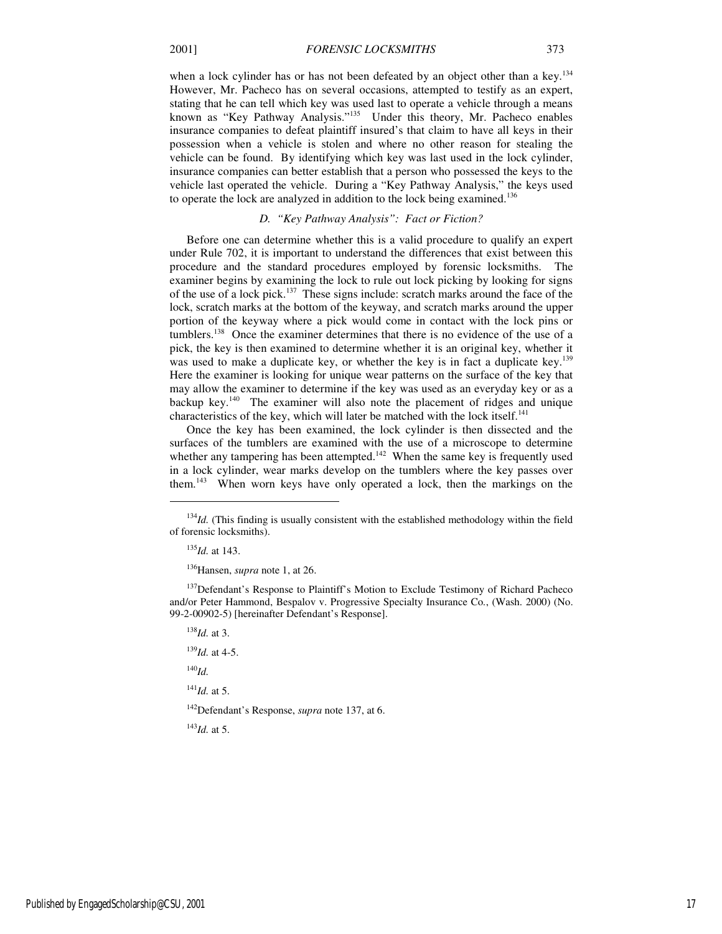when a lock cylinder has or has not been defeated by an object other than a key.<sup>134</sup> However, Mr. Pacheco has on several occasions, attempted to testify as an expert, stating that he can tell which key was used last to operate a vehicle through a means known as "Key Pathway Analysis."<sup>135</sup> Under this theory, Mr. Pacheco enables insurance companies to defeat plaintiff insured's that claim to have all keys in their possession when a vehicle is stolen and where no other reason for stealing the vehicle can be found. By identifying which key was last used in the lock cylinder, insurance companies can better establish that a person who possessed the keys to the vehicle last operated the vehicle. During a "Key Pathway Analysis," the keys used to operate the lock are analyzed in addition to the lock being examined.<sup>136</sup>

# *D. "Key Pathway Analysis": Fact or Fiction?*

Before one can determine whether this is a valid procedure to qualify an expert under Rule 702, it is important to understand the differences that exist between this procedure and the standard procedures employed by forensic locksmiths. The examiner begins by examining the lock to rule out lock picking by looking for signs of the use of a lock pick.<sup>137</sup> These signs include: scratch marks around the face of the lock, scratch marks at the bottom of the keyway, and scratch marks around the upper portion of the keyway where a pick would come in contact with the lock pins or tumblers.<sup>138</sup> Once the examiner determines that there is no evidence of the use of a pick, the key is then examined to determine whether it is an original key, whether it was used to make a duplicate key, or whether the key is in fact a duplicate key.<sup>139</sup> Here the examiner is looking for unique wear patterns on the surface of the key that may allow the examiner to determine if the key was used as an everyday key or as a backup key.<sup>140</sup> The examiner will also note the placement of ridges and unique characteristics of the key, which will later be matched with the lock itself.<sup>141</sup>

Once the key has been examined, the lock cylinder is then dissected and the surfaces of the tumblers are examined with the use of a microscope to determine whether any tampering has been attempted.<sup>142</sup> When the same key is frequently used in a lock cylinder, wear marks develop on the tumblers where the key passes over them.<sup>143</sup> When worn keys have only operated a lock, then the markings on the

<sup>135</sup>*Id.* at 143.

j

<sup>136</sup>Hansen, *supra* note 1, at 26.

<sup>137</sup>Defendant's Response to Plaintiff's Motion to Exclude Testimony of Richard Pacheco and/or Peter Hammond, Bespalov v. Progressive Specialty Insurance Co*.*, (Wash. 2000) (No. 99-2-00902-5) [hereinafter Defendant's Response].

<sup>138</sup>*Id.* at 3.

<sup>139</sup>*Id.* at 4-5.

<sup>140</sup>*Id.*

<sup>141</sup>*Id.* at 5.

<sup>142</sup>Defendant's Response, *supra* note 137, at 6.

<sup>143</sup>*Id.* at 5.

<sup>&</sup>lt;sup>134</sup>*Id.* (This finding is usually consistent with the established methodology within the field of forensic locksmiths).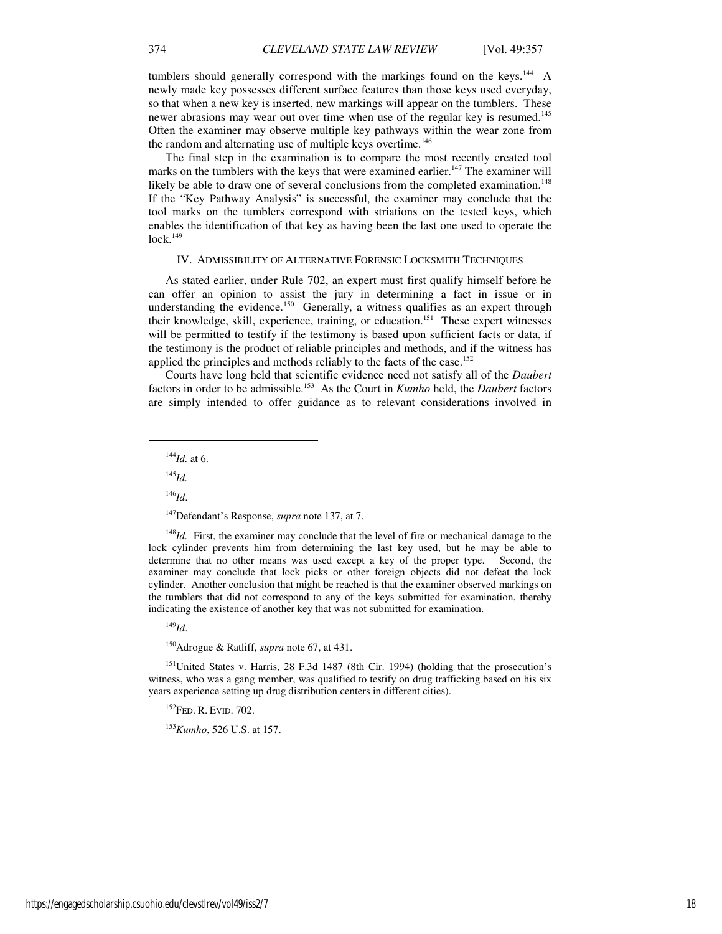tumblers should generally correspond with the markings found on the keys.<sup>144</sup> A newly made key possesses different surface features than those keys used everyday, so that when a new key is inserted, new markings will appear on the tumblers. These newer abrasions may wear out over time when use of the regular key is resumed.<sup>145</sup> Often the examiner may observe multiple key pathways within the wear zone from the random and alternating use of multiple keys overtime.<sup>146</sup>

The final step in the examination is to compare the most recently created tool marks on the tumblers with the keys that were examined earlier.<sup>147</sup> The examiner will likely be able to draw one of several conclusions from the completed examination.<sup>148</sup> If the "Key Pathway Analysis" is successful, the examiner may conclude that the tool marks on the tumblers correspond with striations on the tested keys, which enables the identification of that key as having been the last one used to operate the  $lock.<sup>149</sup>$ 

## IV. ADMISSIBILITY OF ALTERNATIVE FORENSIC LOCKSMITH TECHNIQUES

As stated earlier, under Rule 702, an expert must first qualify himself before he can offer an opinion to assist the jury in determining a fact in issue or in understanding the evidence.<sup>150</sup> Generally, a witness qualifies as an expert through their knowledge, skill, experience, training, or education.<sup>151</sup> These expert witnesses will be permitted to testify if the testimony is based upon sufficient facts or data, if the testimony is the product of reliable principles and methods, and if the witness has applied the principles and methods reliably to the facts of the case.<sup>152</sup>

Courts have long held that scientific evidence need not satisfy all of the *Daubert* factors in order to be admissible.<sup>153</sup> As the Court in *Kumho* held, the *Daubert* factors are simply intended to offer guidance as to relevant considerations involved in

<sup>144</sup>*Id.* at 6.

<sup>145</sup>*Id.*

 $\overline{a}$ 

<sup>146</sup>*Id*.

<sup>147</sup>Defendant's Response, *supra* note 137, at 7.

<sup>148</sup>*Id.* First, the examiner may conclude that the level of fire or mechanical damage to the lock cylinder prevents him from determining the last key used, but he may be able to determine that no other means was used except a key of the proper type. Second, the examiner may conclude that lock picks or other foreign objects did not defeat the lock cylinder. Another conclusion that might be reached is that the examiner observed markings on the tumblers that did not correspond to any of the keys submitted for examination, thereby indicating the existence of another key that was not submitted for examination.

<sup>149</sup>*Id*.

<sup>150</sup>Adrogue & Ratliff, *supra* note 67, at 431.

<sup>151</sup>United States v. Harris, 28 F.3d 1487 (8th Cir. 1994) (holding that the prosecution's witness, who was a gang member, was qualified to testify on drug trafficking based on his six years experience setting up drug distribution centers in different cities).

<sup>152</sup>FED. R. EVID. 702.

<sup>153</sup>*Kumho*, 526 U.S. at 157.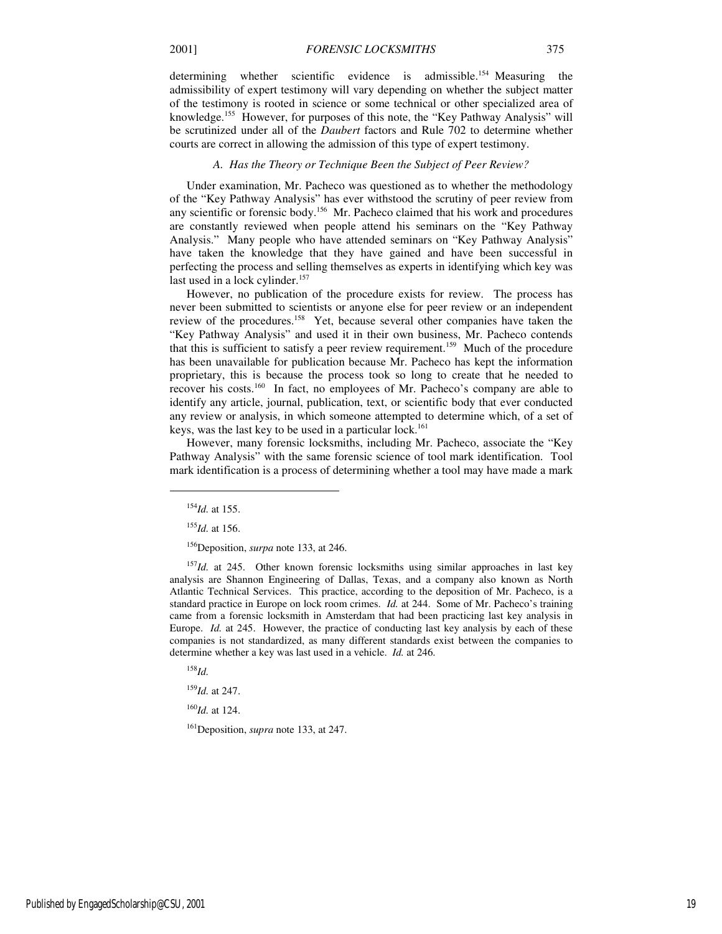determining whether scientific evidence is admissible.<sup>154</sup> Measuring the admissibility of expert testimony will vary depending on whether the subject matter of the testimony is rooted in science or some technical or other specialized area of knowledge.<sup>155</sup> However, for purposes of this note, the "Key Pathway Analysis" will be scrutinized under all of the *Daubert* factors and Rule 702 to determine whether courts are correct in allowing the admission of this type of expert testimony.

#### *A. Has the Theory or Technique Been the Subject of Peer Review?*

Under examination, Mr. Pacheco was questioned as to whether the methodology of the "Key Pathway Analysis" has ever withstood the scrutiny of peer review from any scientific or forensic body.<sup>156</sup> Mr. Pacheco claimed that his work and procedures are constantly reviewed when people attend his seminars on the "Key Pathway Analysis." Many people who have attended seminars on "Key Pathway Analysis" have taken the knowledge that they have gained and have been successful in perfecting the process and selling themselves as experts in identifying which key was last used in a lock cylinder.<sup>157</sup>

However, no publication of the procedure exists for review. The process has never been submitted to scientists or anyone else for peer review or an independent review of the procedures.<sup>158</sup> Yet, because several other companies have taken the "Key Pathway Analysis" and used it in their own business, Mr. Pacheco contends that this is sufficient to satisfy a peer review requirement.<sup>159</sup> Much of the procedure has been unavailable for publication because Mr. Pacheco has kept the information proprietary, this is because the process took so long to create that he needed to recover his costs.<sup>160</sup> In fact, no employees of Mr. Pacheco's company are able to identify any article, journal, publication, text, or scientific body that ever conducted any review or analysis, in which someone attempted to determine which, of a set of keys, was the last key to be used in a particular lock.<sup>161</sup>

However, many forensic locksmiths, including Mr. Pacheco, associate the "Key Pathway Analysis" with the same forensic science of tool mark identification. Tool mark identification is a process of determining whether a tool may have made a mark

1

<sup>157</sup>*Id.* at 245. Other known forensic locksmiths using similar approaches in last key analysis are Shannon Engineering of Dallas, Texas, and a company also known as North Atlantic Technical Services. This practice, according to the deposition of Mr. Pacheco, is a standard practice in Europe on lock room crimes. *Id.* at 244. Some of Mr. Pacheco's training came from a forensic locksmith in Amsterdam that had been practicing last key analysis in Europe. *Id.* at 245. However, the practice of conducting last key analysis by each of these companies is not standardized, as many different standards exist between the companies to determine whether a key was last used in a vehicle. *Id.* at 246.

<sup>158</sup>*Id.*

<sup>159</sup>*Id.* at 247.

<sup>160</sup>*Id.* at 124.

<sup>161</sup>Deposition, *supra* note 133, at 247.

<sup>154</sup>*Id.* at 155.

<sup>155</sup>*Id.* at 156.

<sup>156</sup>Deposition, *surpa* note 133, at 246.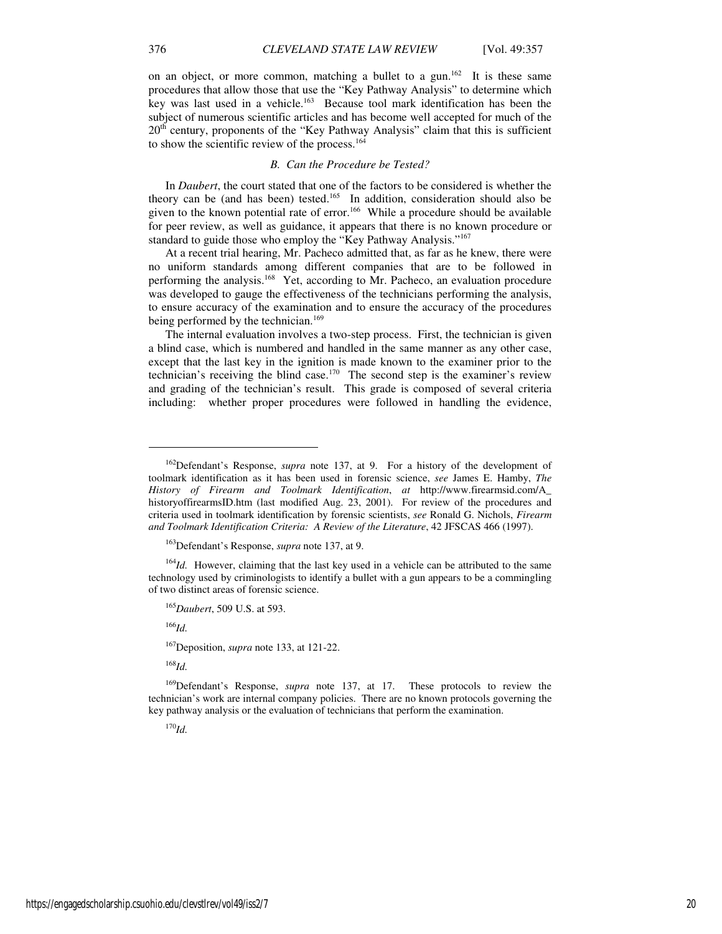on an object, or more common, matching a bullet to a gun.<sup>162</sup> It is these same procedures that allow those that use the "Key Pathway Analysis" to determine which key was last used in a vehicle.<sup>163</sup> Because tool mark identification has been the subject of numerous scientific articles and has become well accepted for much of the  $20<sup>th</sup>$  century, proponents of the "Key Pathway Analysis" claim that this is sufficient to show the scientific review of the process.<sup>164</sup>

## *B. Can the Procedure be Tested?*

In *Daubert*, the court stated that one of the factors to be considered is whether the theory can be (and has been) tested.<sup>165</sup> In addition, consideration should also be given to the known potential rate of error.<sup>166</sup> While a procedure should be available for peer review, as well as guidance, it appears that there is no known procedure or standard to guide those who employ the "Key Pathway Analysis."<sup>167</sup>

At a recent trial hearing, Mr. Pacheco admitted that, as far as he knew, there were no uniform standards among different companies that are to be followed in performing the analysis.<sup>168</sup> Yet, according to Mr. Pacheco, an evaluation procedure was developed to gauge the effectiveness of the technicians performing the analysis, to ensure accuracy of the examination and to ensure the accuracy of the procedures being performed by the technician.<sup>169</sup>

The internal evaluation involves a two-step process. First, the technician is given a blind case, which is numbered and handled in the same manner as any other case, except that the last key in the ignition is made known to the examiner prior to the technician's receiving the blind case.<sup>170</sup> The second step is the examiner's review and grading of the technician's result. This grade is composed of several criteria including: whether proper procedures were followed in handling the evidence,

<sup>164</sup>*Id.* However, claiming that the last key used in a vehicle can be attributed to the same technology used by criminologists to identify a bullet with a gun appears to be a commingling of two distinct areas of forensic science.

<sup>165</sup>*Daubert*, 509 U.S. at 593.

<sup>166</sup>*Id.*

1

<sup>167</sup>Deposition, *supra* note 133, at 121-22.

<sup>168</sup>*Id.*

<sup>169</sup>Defendant's Response, *supra* note 137, at 17. These protocols to review the technician's work are internal company policies. There are no known protocols governing the key pathway analysis or the evaluation of technicians that perform the examination.

<sup>170</sup>*Id.*

<sup>162</sup>Defendant's Response, *supra* note 137, at 9. For a history of the development of toolmark identification as it has been used in forensic science, *see* James E. Hamby, *The History of Firearm and Toolmark Identification*, *at* http://www.firearmsid.com/A\_ historyoffirearmsID.htm (last modified Aug. 23, 2001). For review of the procedures and criteria used in toolmark identification by forensic scientists, *see* Ronald G. Nichols, *Firearm and Toolmark Identification Criteria: A Review of the Literature*, 42 JFSCAS 466 (1997).

<sup>163</sup>Defendant's Response, *supra* note 137, at 9.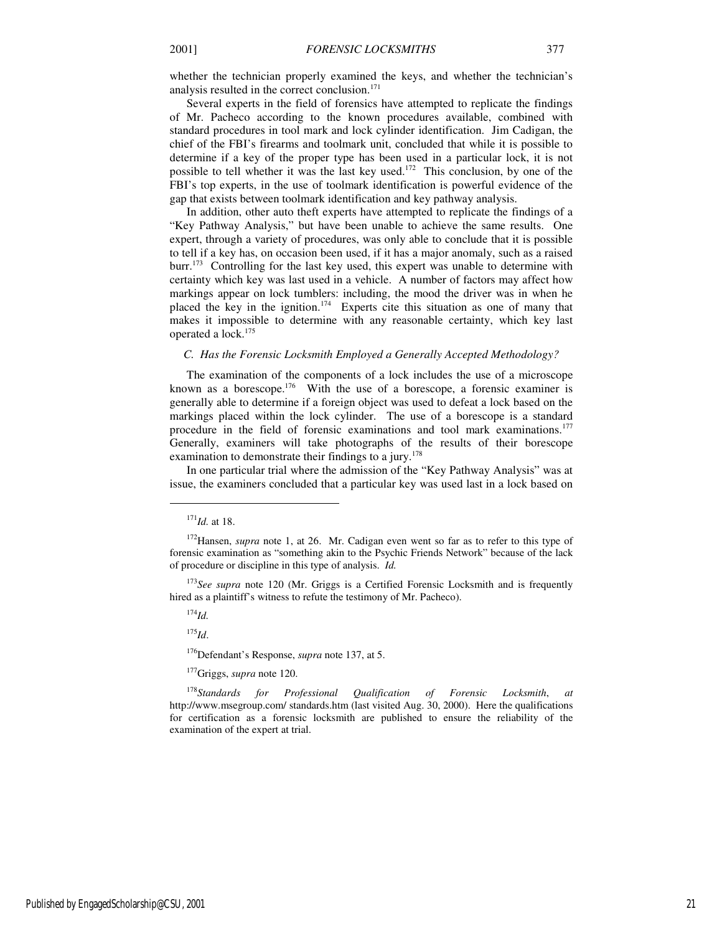Several experts in the field of forensics have attempted to replicate the findings of Mr. Pacheco according to the known procedures available, combined with standard procedures in tool mark and lock cylinder identification. Jim Cadigan, the chief of the FBI's firearms and toolmark unit, concluded that while it is possible to determine if a key of the proper type has been used in a particular lock, it is not possible to tell whether it was the last key used.<sup>172</sup> This conclusion, by one of the FBI's top experts, in the use of toolmark identification is powerful evidence of the gap that exists between toolmark identification and key pathway analysis.

In addition, other auto theft experts have attempted to replicate the findings of a "Key Pathway Analysis," but have been unable to achieve the same results. One expert, through a variety of procedures, was only able to conclude that it is possible to tell if a key has, on occasion been used, if it has a major anomaly, such as a raised burr.<sup>173</sup> Controlling for the last key used, this expert was unable to determine with certainty which key was last used in a vehicle. A number of factors may affect how markings appear on lock tumblers: including, the mood the driver was in when he placed the key in the ignition.<sup>174</sup> Experts cite this situation as one of many that makes it impossible to determine with any reasonable certainty, which key last operated a lock.<sup>175</sup>

## *C. Has the Forensic Locksmith Employed a Generally Accepted Methodology?*

The examination of the components of a lock includes the use of a microscope known as a borescope.<sup>176</sup> With the use of a borescope, a forensic examiner is generally able to determine if a foreign object was used to defeat a lock based on the markings placed within the lock cylinder. The use of a borescope is a standard procedure in the field of forensic examinations and tool mark examinations.<sup>177</sup> Generally, examiners will take photographs of the results of their borescope examination to demonstrate their findings to a jury.<sup>178</sup>

In one particular trial where the admission of the "Key Pathway Analysis" was at issue, the examiners concluded that a particular key was used last in a lock based on

j

<sup>173</sup>See supra note 120 (Mr. Griggs is a Certified Forensic Locksmith and is frequently hired as a plaintiff's witness to refute the testimony of Mr. Pacheco).

<sup>174</sup>*Id.*

<sup>175</sup>*Id*.

<sup>176</sup>Defendant's Response, *supra* note 137, at 5.

<sup>177</sup>Griggs, *supra* note 120.

<sup>178</sup>*Standards for Professional Qualification of Forensic Locksmith*, *at*  http://www.msegroup.com/ standards.htm (last visited Aug. 30, 2000). Here the qualifications for certification as a forensic locksmith are published to ensure the reliability of the examination of the expert at trial.

<sup>171</sup>*Id.* at 18.

<sup>&</sup>lt;sup>172</sup>Hansen, *supra* note 1, at 26. Mr. Cadigan even went so far as to refer to this type of forensic examination as "something akin to the Psychic Friends Network" because of the lack of procedure or discipline in this type of analysis. *Id.*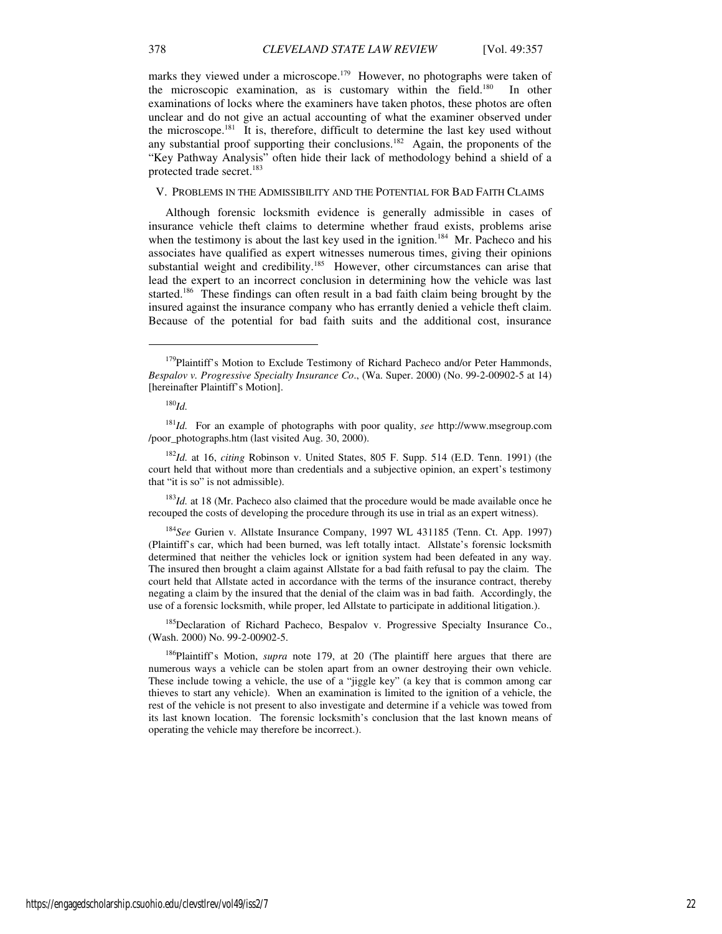marks they viewed under a microscope.<sup>179</sup> However, no photographs were taken of the microscopic examination, as is customary within the field.<sup>180</sup> In other examinations of locks where the examiners have taken photos, these photos are often unclear and do not give an actual accounting of what the examiner observed under the microscope.<sup>181</sup> It is, therefore, difficult to determine the last key used without any substantial proof supporting their conclusions.<sup>182</sup> Again, the proponents of the "Key Pathway Analysis" often hide their lack of methodology behind a shield of a protected trade secret.<sup>183</sup>

## V. PROBLEMS IN THE ADMISSIBILITY AND THE POTENTIAL FOR BAD FAITH CLAIMS

Although forensic locksmith evidence is generally admissible in cases of insurance vehicle theft claims to determine whether fraud exists, problems arise when the testimony is about the last key used in the ignition.<sup>184</sup> Mr. Pacheco and his associates have qualified as expert witnesses numerous times, giving their opinions substantial weight and credibility.<sup>185</sup> However, other circumstances can arise that lead the expert to an incorrect conclusion in determining how the vehicle was last started.<sup>186</sup> These findings can often result in a bad faith claim being brought by the insured against the insurance company who has errantly denied a vehicle theft claim. Because of the potential for bad faith suits and the additional cost, insurance

<sup>180</sup>*Id.*

 $\overline{a}$ 

 $183Id$ . at 18 (Mr. Pacheco also claimed that the procedure would be made available once he recouped the costs of developing the procedure through its use in trial as an expert witness).

<sup>184</sup>*See* Gurien v. Allstate Insurance Company, 1997 WL 431185 (Tenn. Ct. App. 1997) (Plaintiff's car, which had been burned, was left totally intact. Allstate's forensic locksmith determined that neither the vehicles lock or ignition system had been defeated in any way. The insured then brought a claim against Allstate for a bad faith refusal to pay the claim. The court held that Allstate acted in accordance with the terms of the insurance contract, thereby negating a claim by the insured that the denial of the claim was in bad faith. Accordingly, the use of a forensic locksmith, while proper, led Allstate to participate in additional litigation.).

<sup>185</sup>Declaration of Richard Pacheco, Bespalov v. Progressive Specialty Insurance Co., (Wash. 2000) No. 99-2-00902-5.

<sup>186</sup>Plaintiff's Motion, *supra* note 179, at 20 (The plaintiff here argues that there are numerous ways a vehicle can be stolen apart from an owner destroying their own vehicle. These include towing a vehicle, the use of a "jiggle key" (a key that is common among car thieves to start any vehicle). When an examination is limited to the ignition of a vehicle, the rest of the vehicle is not present to also investigate and determine if a vehicle was towed from its last known location. The forensic locksmith's conclusion that the last known means of operating the vehicle may therefore be incorrect.).

https://engagedscholarship.csuohio.edu/clevstlrev/vol49/iss2/7 22

<sup>&</sup>lt;sup>179</sup>Plaintiff's Motion to Exclude Testimony of Richard Pacheco and/or Peter Hammonds, *Bespalov v. Progressive Specialty Insurance Co*., (Wa. Super. 2000) (No. 99-2-00902-5 at 14) [hereinafter Plaintiff's Motion].

<sup>181</sup>*Id.* For an example of photographs with poor quality, *see* http://www.msegroup.com /poor\_photographs.htm (last visited Aug. 30, 2000).

<sup>182</sup>*Id.* at 16, *citing* Robinson v. United States, 805 F. Supp. 514 (E.D. Tenn. 1991) (the court held that without more than credentials and a subjective opinion, an expert's testimony that "it is so" is not admissible).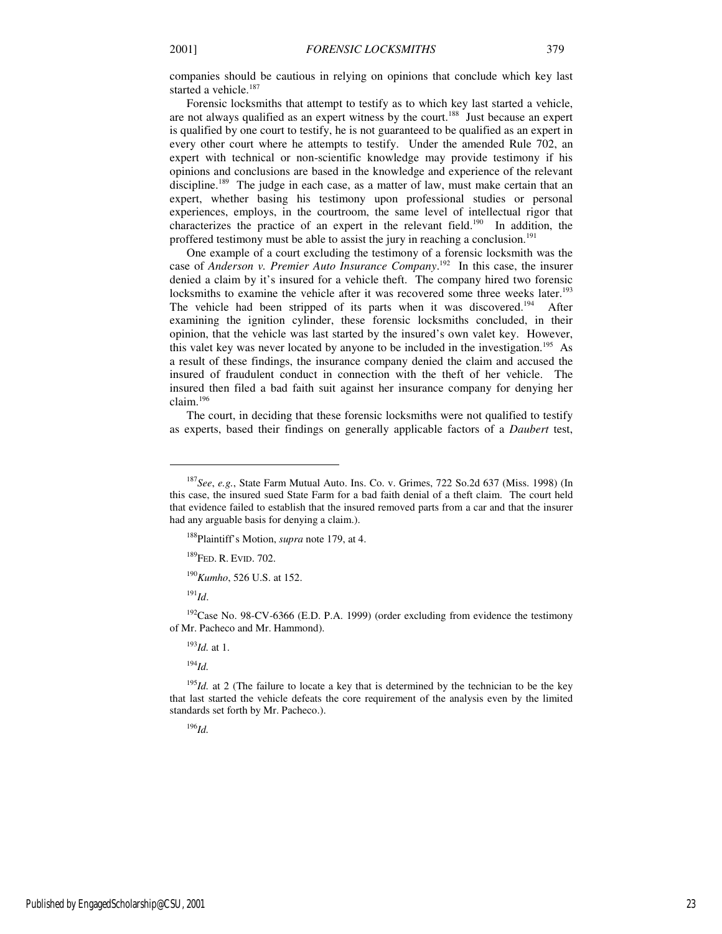companies should be cautious in relying on opinions that conclude which key last started a vehicle.<sup>187</sup>

Forensic locksmiths that attempt to testify as to which key last started a vehicle, are not always qualified as an expert witness by the court.<sup>188</sup> Just because an expert is qualified by one court to testify, he is not guaranteed to be qualified as an expert in every other court where he attempts to testify. Under the amended Rule 702, an expert with technical or non-scientific knowledge may provide testimony if his opinions and conclusions are based in the knowledge and experience of the relevant discipline.<sup>189</sup> The judge in each case, as a matter of law, must make certain that an expert, whether basing his testimony upon professional studies or personal experiences, employs, in the courtroom, the same level of intellectual rigor that characterizes the practice of an expert in the relevant field.<sup>190</sup> In addition, the proffered testimony must be able to assist the jury in reaching a conclusion.<sup>191</sup>

One example of a court excluding the testimony of a forensic locksmith was the case of *Anderson v. Premier Auto Insurance Company*. <sup>192</sup> In this case, the insurer denied a claim by it's insured for a vehicle theft. The company hired two forensic locksmiths to examine the vehicle after it was recovered some three weeks later.<sup>193</sup> The vehicle had been stripped of its parts when it was discovered.<sup>194</sup> After examining the ignition cylinder, these forensic locksmiths concluded, in their opinion, that the vehicle was last started by the insured's own valet key. However, this valet key was never located by anyone to be included in the investigation.<sup>195</sup> As a result of these findings, the insurance company denied the claim and accused the insured of fraudulent conduct in connection with the theft of her vehicle. The insured then filed a bad faith suit against her insurance company for denying her claim.<sup>196</sup>

The court, in deciding that these forensic locksmiths were not qualified to testify as experts, based their findings on generally applicable factors of a *Daubert* test,

<sup>190</sup>*Kumho*, 526 U.S. at 152.

<sup>191</sup>*Id*.

j

<sup>192</sup>Case No. 98-CV-6366 (E.D. P.A. 1999) (order excluding from evidence the testimony of Mr. Pacheco and Mr. Hammond).

<sup>193</sup>*Id.* at 1.

<sup>194</sup>*Id.*

<sup>195</sup>*Id.* at 2 (The failure to locate a key that is determined by the technician to be the key that last started the vehicle defeats the core requirement of the analysis even by the limited standards set forth by Mr. Pacheco.).

<sup>196</sup>*Id.*

<sup>187</sup>*See*, *e.g.*, State Farm Mutual Auto. Ins. Co. v. Grimes, 722 So.2d 637 (Miss. 1998) (In this case, the insured sued State Farm for a bad faith denial of a theft claim. The court held that evidence failed to establish that the insured removed parts from a car and that the insurer had any arguable basis for denying a claim.).

<sup>188</sup>Plaintiff's Motion, *supra* note 179, at 4.

<sup>189</sup>FED. R. EVID. 702.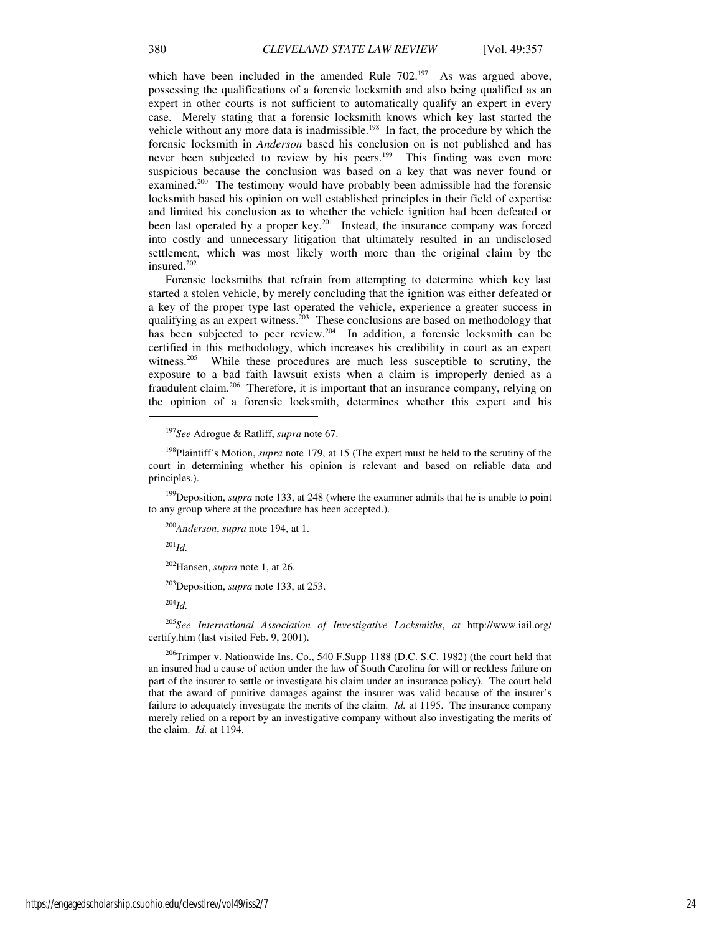which have been included in the amended Rule  $702^{197}$  As was argued above, possessing the qualifications of a forensic locksmith and also being qualified as an expert in other courts is not sufficient to automatically qualify an expert in every case. Merely stating that a forensic locksmith knows which key last started the vehicle without any more data is inadmissible.<sup>198</sup> In fact, the procedure by which the forensic locksmith in *Anderson* based his conclusion on is not published and has never been subjected to review by his peers.<sup>199</sup> This finding was even more suspicious because the conclusion was based on a key that was never found or examined.<sup>200</sup> The testimony would have probably been admissible had the forensic locksmith based his opinion on well established principles in their field of expertise and limited his conclusion as to whether the vehicle ignition had been defeated or been last operated by a proper key.<sup>201</sup> Instead, the insurance company was forced into costly and unnecessary litigation that ultimately resulted in an undisclosed settlement, which was most likely worth more than the original claim by the insured. $202$ 

Forensic locksmiths that refrain from attempting to determine which key last started a stolen vehicle, by merely concluding that the ignition was either defeated or a key of the proper type last operated the vehicle, experience a greater success in qualifying as an expert witness.<sup>203</sup> These conclusions are based on methodology that has been subjected to peer review.<sup>204</sup> In addition, a forensic locksmith can be certified in this methodology, which increases his credibility in court as an expert witness.<sup>205</sup> While these procedures are much less susceptible to scrutiny, the exposure to a bad faith lawsuit exists when a claim is improperly denied as a fraudulent claim.<sup>206</sup> Therefore, it is important that an insurance company, relying on the opinion of a forensic locksmith, determines whether this expert and his

<sup>201</sup>*Id.*

1

<sup>203</sup>Deposition, *supra* note 133, at 253.

<sup>204</sup>*Id.*

<sup>205</sup>*See International Association of Investigative Locksmiths*, *at* http://www.iail.org/ certify.htm (last visited Feb. 9, 2001).

<sup>206</sup>Trimper v. Nationwide Ins. Co., 540 F.Supp 1188 (D.C. S.C. 1982) (the court held that an insured had a cause of action under the law of South Carolina for will or reckless failure on part of the insurer to settle or investigate his claim under an insurance policy). The court held that the award of punitive damages against the insurer was valid because of the insurer's failure to adequately investigate the merits of the claim. *Id.* at 1195. The insurance company merely relied on a report by an investigative company without also investigating the merits of the claim. *Id.* at 1194.

<sup>197</sup>*See* Adrogue & Ratliff, *supra* note 67.

<sup>&</sup>lt;sup>198</sup>Plaintiff's Motion, *supra* note 179, at 15 (The expert must be held to the scrutiny of the court in determining whether his opinion is relevant and based on reliable data and principles.).

<sup>&</sup>lt;sup>199</sup>Deposition, *supra* note 133, at 248 (where the examiner admits that he is unable to point to any group where at the procedure has been accepted.).

<sup>200</sup>*Anderson*, *supra* note 194, at 1.

<sup>202</sup>Hansen, *supra* note 1, at 26.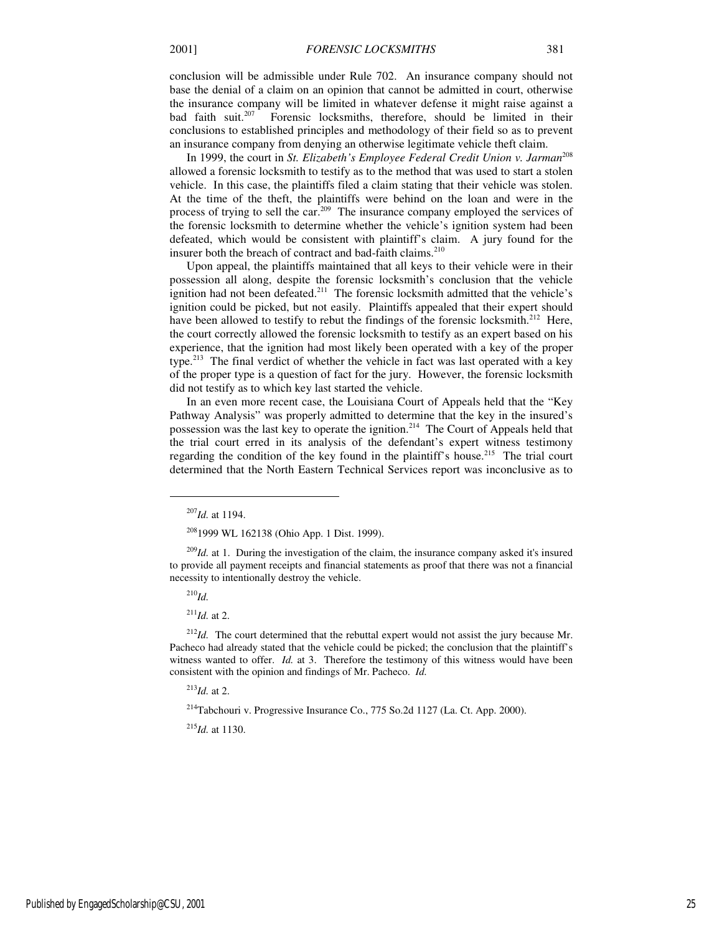conclusion will be admissible under Rule 702. An insurance company should not base the denial of a claim on an opinion that cannot be admitted in court, otherwise the insurance company will be limited in whatever defense it might raise against a bad faith suit.<sup>207</sup> Forensic locksmiths, therefore, should be limited in their Forensic locksmiths, therefore, should be limited in their conclusions to established principles and methodology of their field so as to prevent an insurance company from denying an otherwise legitimate vehicle theft claim.

In 1999, the court in *St. Elizabeth's Employee Federal Credit Union v. Jarman*<sup>208</sup> allowed a forensic locksmith to testify as to the method that was used to start a stolen vehicle. In this case, the plaintiffs filed a claim stating that their vehicle was stolen. At the time of the theft, the plaintiffs were behind on the loan and were in the process of trying to sell the car.<sup>209</sup> The insurance company employed the services of the forensic locksmith to determine whether the vehicle's ignition system had been defeated, which would be consistent with plaintiff's claim. A jury found for the insurer both the breach of contract and bad-faith claims.<sup>210</sup>

Upon appeal, the plaintiffs maintained that all keys to their vehicle were in their possession all along, despite the forensic locksmith's conclusion that the vehicle ignition had not been defeated.<sup>211</sup> The forensic locksmith admitted that the vehicle's ignition could be picked, but not easily. Plaintiffs appealed that their expert should have been allowed to testify to rebut the findings of the forensic locksmith.<sup>212</sup> Here, the court correctly allowed the forensic locksmith to testify as an expert based on his experience, that the ignition had most likely been operated with a key of the proper type.<sup>213</sup> The final verdict of whether the vehicle in fact was last operated with a key of the proper type is a question of fact for the jury. However, the forensic locksmith did not testify as to which key last started the vehicle.

In an even more recent case, the Louisiana Court of Appeals held that the "Key Pathway Analysis" was properly admitted to determine that the key in the insured's possession was the last key to operate the ignition.<sup>214</sup> The Court of Appeals held that the trial court erred in its analysis of the defendant's expert witness testimony regarding the condition of the key found in the plaintiff's house.<sup>215</sup> The trial court determined that the North Eastern Technical Services report was inconclusive as to

<sup>210</sup>*Id.*

j

 $^{211}$ *Id.* at 2.

<sup>212</sup>*Id.* The court determined that the rebuttal expert would not assist the jury because Mr. Pacheco had already stated that the vehicle could be picked; the conclusion that the plaintiff's witness wanted to offer. *Id.* at 3. Therefore the testimony of this witness would have been consistent with the opinion and findings of Mr. Pacheco. *Id.* 

<sup>213</sup>*Id.* at 2.

<sup>214</sup>Tabchouri v. Progressive Insurance Co., 775 So.2d 1127 (La. Ct. App. 2000).

<sup>215</sup>*Id.* at 1130.

<sup>207</sup>*Id.* at 1194.

<sup>208</sup>1999 WL 162138 (Ohio App. 1 Dist. 1999).

<sup>&</sup>lt;sup>209</sup>*Id.* at 1. During the investigation of the claim, the insurance company asked it's insured to provide all payment receipts and financial statements as proof that there was not a financial necessity to intentionally destroy the vehicle.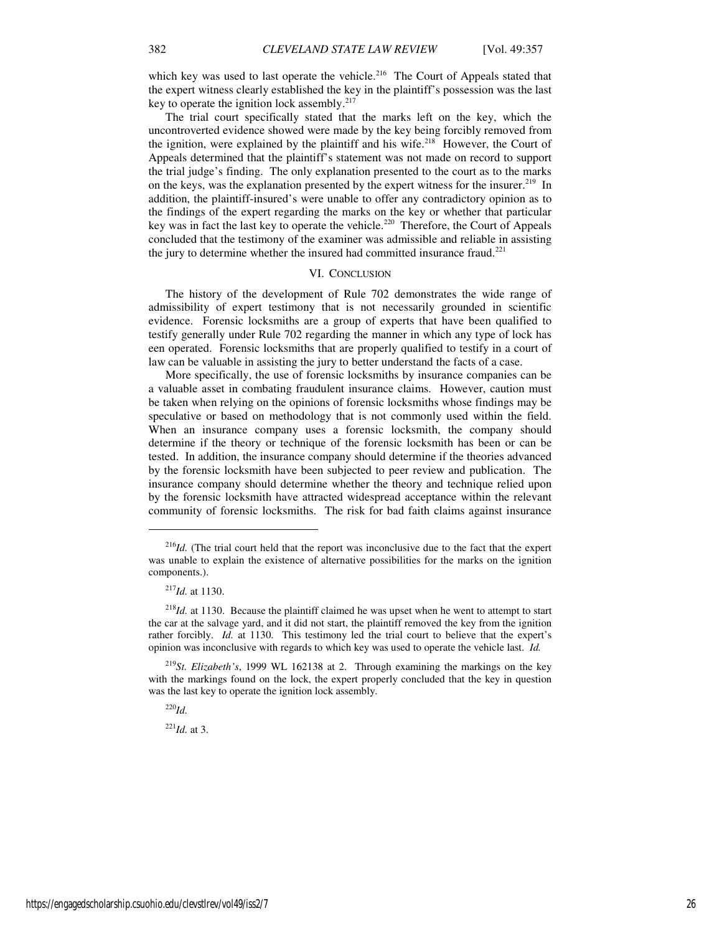which key was used to last operate the vehicle.<sup>216</sup> The Court of Appeals stated that the expert witness clearly established the key in the plaintiff's possession was the last key to operate the ignition lock assembly. $2^{17}$ 

The trial court specifically stated that the marks left on the key, which the uncontroverted evidence showed were made by the key being forcibly removed from the ignition, were explained by the plaintiff and his wife.<sup>218</sup> However, the Court of Appeals determined that the plaintiff's statement was not made on record to support the trial judge's finding. The only explanation presented to the court as to the marks on the keys, was the explanation presented by the expert witness for the insurer.<sup>219</sup> In addition, the plaintiff-insured's were unable to offer any contradictory opinion as to the findings of the expert regarding the marks on the key or whether that particular key was in fact the last key to operate the vehicle.<sup>220</sup> Therefore, the Court of Appeals concluded that the testimony of the examiner was admissible and reliable in assisting the jury to determine whether the insured had committed insurance fraud.<sup>221</sup>

## VI. CONCLUSION

The history of the development of Rule 702 demonstrates the wide range of admissibility of expert testimony that is not necessarily grounded in scientific evidence. Forensic locksmiths are a group of experts that have been qualified to testify generally under Rule 702 regarding the manner in which any type of lock has een operated. Forensic locksmiths that are properly qualified to testify in a court of law can be valuable in assisting the jury to better understand the facts of a case.

More specifically, the use of forensic locksmiths by insurance companies can be a valuable asset in combating fraudulent insurance claims. However, caution must be taken when relying on the opinions of forensic locksmiths whose findings may be speculative or based on methodology that is not commonly used within the field. When an insurance company uses a forensic locksmith, the company should determine if the theory or technique of the forensic locksmith has been or can be tested. In addition, the insurance company should determine if the theories advanced by the forensic locksmith have been subjected to peer review and publication. The insurance company should determine whether the theory and technique relied upon by the forensic locksmith have attracted widespread acceptance within the relevant community of forensic locksmiths. The risk for bad faith claims against insurance

j

<sup>220</sup>*Id.*

 $^{221}$ *Id.* at 3.

<sup>&</sup>lt;sup>216</sup>*Id.* (The trial court held that the report was inconclusive due to the fact that the expert was unable to explain the existence of alternative possibilities for the marks on the ignition components.).

<sup>217</sup>*Id.* at 1130.

<sup>&</sup>lt;sup>218</sup>*Id.* at 1130. Because the plaintiff claimed he was upset when he went to attempt to start the car at the salvage yard, and it did not start, the plaintiff removed the key from the ignition rather forcibly. *Id.* at 1130. This testimony led the trial court to believe that the expert's opinion was inconclusive with regards to which key was used to operate the vehicle last. *Id.* 

<sup>219</sup>*St. Elizabeth's*, 1999 WL 162138 at 2. Through examining the markings on the key with the markings found on the lock, the expert properly concluded that the key in question was the last key to operate the ignition lock assembly.